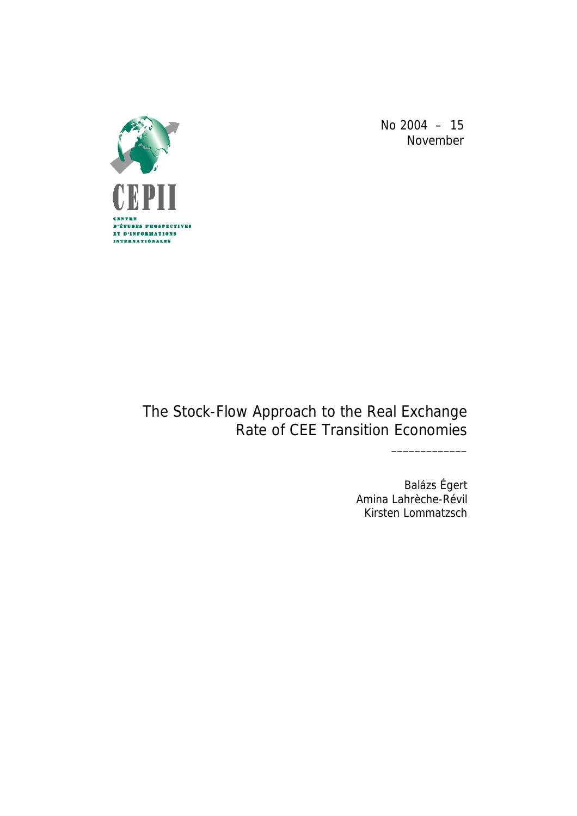

No 2004 – 15 November

## The Stock-Flow Approach to the Real Exchange Rate of CEE Transition Economies

Balázs Égert Amina Lahrèche-Révil Kirsten Lommatzsch

\_\_\_\_\_\_\_\_\_\_\_\_\_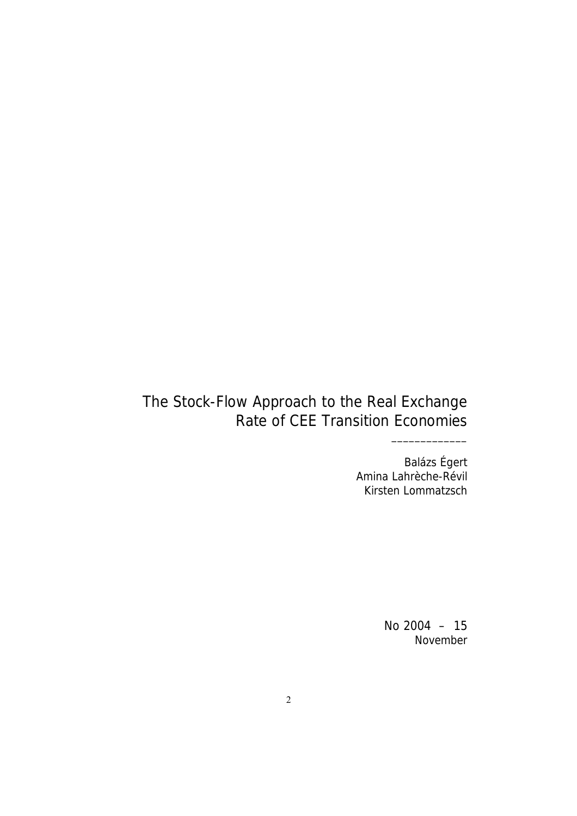Balázs Égert Amina Lahrèche-Révil Kirsten Lommatzsch

\_\_\_\_\_\_\_\_\_\_\_\_\_

No 2004 – 15 November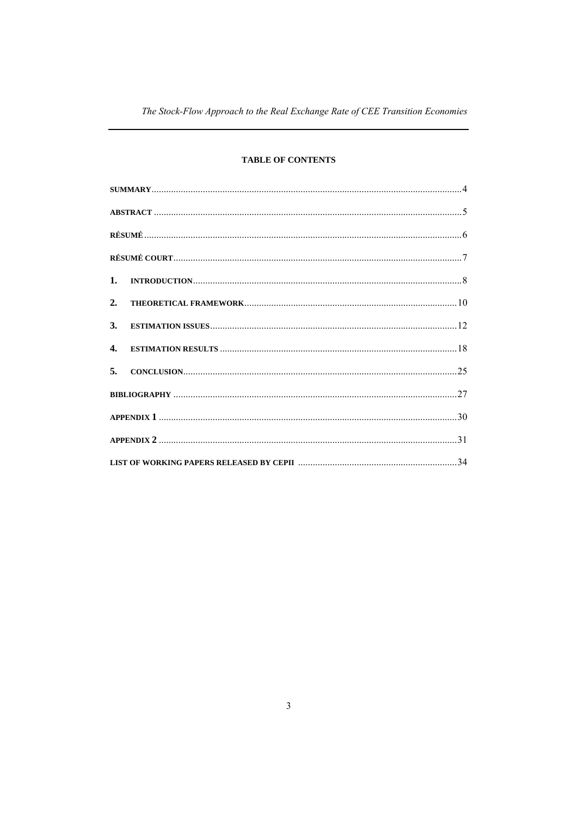## **TABLE OF CONTENTS**

| 2.           |  |
|--------------|--|
| 3.           |  |
| $\mathbf{4}$ |  |
| 5.           |  |
|              |  |
|              |  |
|              |  |
|              |  |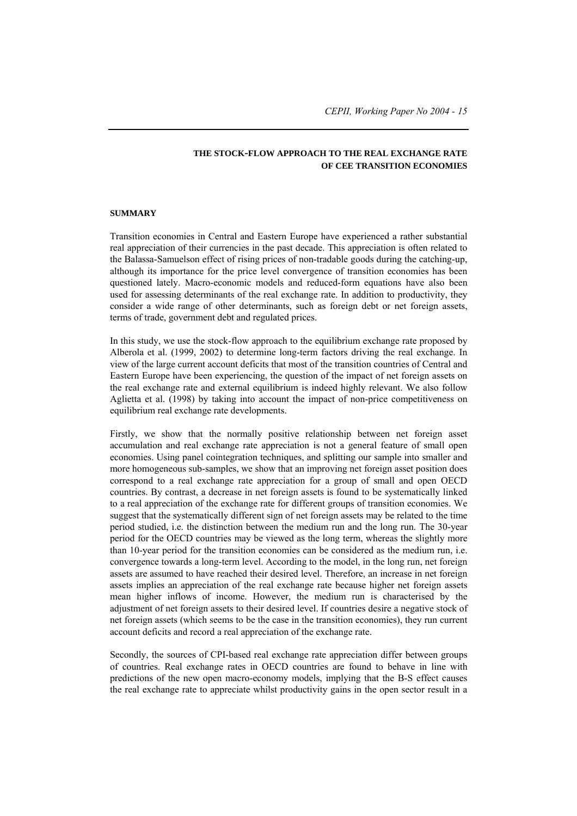## **THE STOCK-FLOW APPROACH TO THE REAL EXCHANGE RATE OF CEE TRANSITION ECONOMIES**

#### **SUMMARY**

Transition economies in Central and Eastern Europe have experienced a rather substantial real appreciation of their currencies in the past decade. This appreciation is often related to the Balassa-Samuelson effect of rising prices of non-tradable goods during the catching-up, although its importance for the price level convergence of transition economies has been questioned lately. Macro-economic models and reduced-form equations have also been used for assessing determinants of the real exchange rate. In addition to productivity, they consider a wide range of other determinants, such as foreign debt or net foreign assets, terms of trade, government debt and regulated prices.

In this study, we use the stock-flow approach to the equilibrium exchange rate proposed by Alberola et al. (1999, 2002) to determine long-term factors driving the real exchange. In view of the large current account deficits that most of the transition countries of Central and Eastern Europe have been experiencing, the question of the impact of net foreign assets on the real exchange rate and external equilibrium is indeed highly relevant. We also follow Aglietta et al. (1998) by taking into account the impact of non-price competitiveness on equilibrium real exchange rate developments.

Firstly, we show that the normally positive relationship between net foreign asset accumulation and real exchange rate appreciation is not a general feature of small open economies. Using panel cointegration techniques, and splitting our sample into smaller and more homogeneous sub-samples, we show that an improving net foreign asset position does correspond to a real exchange rate appreciation for a group of small and open OECD countries. By contrast, a decrease in net foreign assets is found to be systematically linked to a real appreciation of the exchange rate for different groups of transition economies. We suggest that the systematically different sign of net foreign assets may be related to the time period studied, i.e. the distinction between the medium run and the long run. The 30-year period for the OECD countries may be viewed as the long term, whereas the slightly more than 10-year period for the transition economies can be considered as the medium run, i.e. convergence towards a long-term level. According to the model, in the long run, net foreign assets are assumed to have reached their desired level. Therefore, an increase in net foreign assets implies an appreciation of the real exchange rate because higher net foreign assets mean higher inflows of income. However, the medium run is characterised by the adjustment of net foreign assets to their desired level. If countries desire a negative stock of net foreign assets (which seems to be the case in the transition economies), they run current account deficits and record a real appreciation of the exchange rate.

Secondly, the sources of CPI-based real exchange rate appreciation differ between groups of countries. Real exchange rates in OECD countries are found to behave in line with predictions of the new open macro-economy models, implying that the B-S effect causes the real exchange rate to appreciate whilst productivity gains in the open sector result in a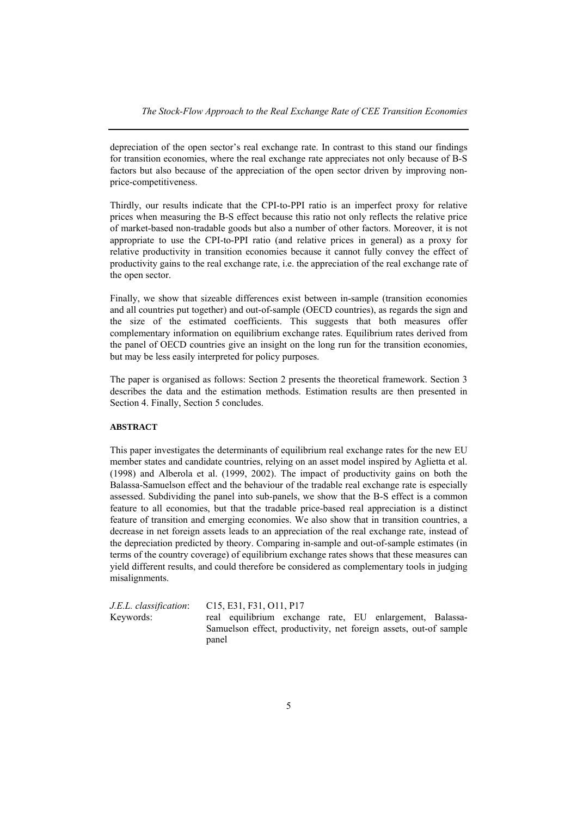depreciation of the open sector's real exchange rate. In contrast to this stand our findings for transition economies, where the real exchange rate appreciates not only because of B-S factors but also because of the appreciation of the open sector driven by improving nonprice-competitiveness.

Thirdly, our results indicate that the CPI-to-PPI ratio is an imperfect proxy for relative prices when measuring the B-S effect because this ratio not only reflects the relative price of market-based non-tradable goods but also a number of other factors. Moreover, it is not appropriate to use the CPI-to-PPI ratio (and relative prices in general) as a proxy for relative productivity in transition economies because it cannot fully convey the effect of productivity gains to the real exchange rate, i.e. the appreciation of the real exchange rate of the open sector.

Finally, we show that sizeable differences exist between in-sample (transition economies and all countries put together) and out-of-sample (OECD countries), as regards the sign and the size of the estimated coefficients. This suggests that both measures offer complementary information on equilibrium exchange rates. Equilibrium rates derived from the panel of OECD countries give an insight on the long run for the transition economies, but may be less easily interpreted for policy purposes.

The paper is organised as follows: Section 2 presents the theoretical framework. Section 3 describes the data and the estimation methods. Estimation results are then presented in Section 4. Finally, Section 5 concludes.

#### **ABSTRACT**

This paper investigates the determinants of equilibrium real exchange rates for the new EU member states and candidate countries, relying on an asset model inspired by Aglietta et al. (1998) and Alberola et al. (1999, 2002). The impact of productivity gains on both the Balassa-Samuelson effect and the behaviour of the tradable real exchange rate is especially assessed. Subdividing the panel into sub-panels, we show that the B-S effect is a common feature to all economies, but that the tradable price-based real appreciation is a distinct feature of transition and emerging economies. We also show that in transition countries, a decrease in net foreign assets leads to an appreciation of the real exchange rate, instead of the depreciation predicted by theory. Comparing in-sample and out-of-sample estimates (in terms of the country coverage) of equilibrium exchange rates shows that these measures can yield different results, and could therefore be considered as complementary tools in judging misalignments.

*J.E.L. classification*: C15, E31, F31, O11, P17 Keywords: real equilibrium exchange rate, EU enlargement, Balassa-Samuelson effect, productivity, net foreign assets, out-of sample panel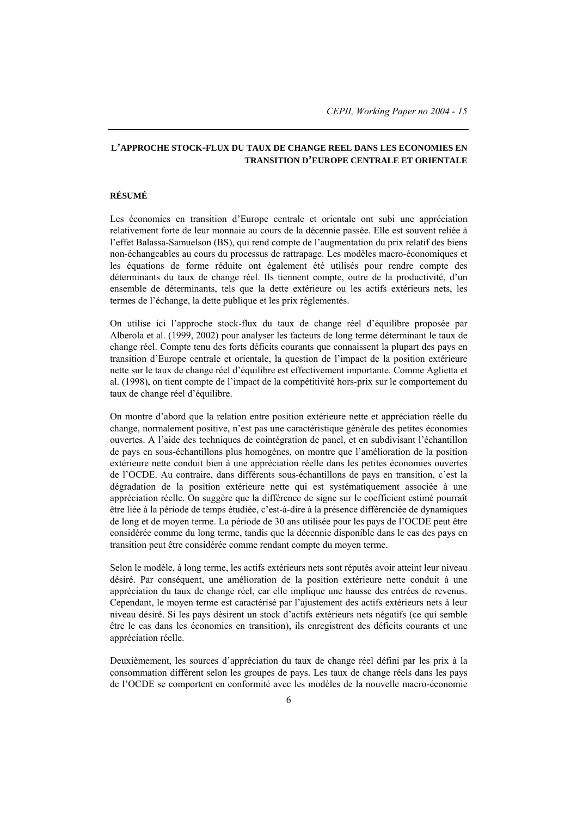## **L'APPROCHE STOCK-FLUX DU TAUX DE CHANGE REEL DANS LES ECONOMIES EN TRANSITION D'EUROPE CENTRALE ET ORIENTALE**

#### **RÉSUMÉ**

Les économies en transition d'Europe centrale et orientale ont subi une appréciation relativement forte de leur monnaie au cours de la décennie passée. Elle est souvent reliée à l'effet Balassa-Samuelson (BS), qui rend compte de l'augmentation du prix relatif des biens non-échangeables au cours du processus de rattrapage. Les modèles macro-économiques et les équations de forme réduite ont également été utilisés pour rendre compte des déterminants du taux de change réel. Ils tiennent compte, outre de la productivité, d'un ensemble de déterminants, tels que la dette extérieure ou les actifs extérieurs nets, les termes de l'échange, la dette publique et les prix réglementés.

On utilise ici l'approche stock-flux du taux de change réel d'équilibre proposée par Alberola et al. (1999, 2002) pour analyser les facteurs de long terme déterminant le taux de change réel. Compte tenu des forts déficits courants que connaissent la plupart des pays en transition d'Europe centrale et orientale, la question de l'impact de la position extérieure nette sur le taux de change réel d'équilibre est effectivement importante. Comme Aglietta et al. (1998), on tient compte de l'impact de la compétitivité hors-prix sur le comportement du taux de change réel d'équilibre.

On montre d'abord que la relation entre position extérieure nette et appréciation réelle du change, normalement positive, n'est pas une caractéristique générale des petites économies ouvertes. A l'aide des techniques de cointégration de panel, et en subdivisant l'échantillon de pays en sous-échantillons plus homogènes, on montre que l'amélioration de la position extérieure nette conduit bien à une appréciation réelle dans les petites économies ouvertes de l'OCDE. Au contraire, dans différents sous-échantillons de pays en transition, c'est la dégradation de la position extérieure nette qui est systématiquement associée à une appréciation réelle. On suggère que la différence de signe sur le coefficient estimé pourraît être liée à la période de temps étudiée, c'est-à-dire à la présence différenciée de dynamiques de long et de moyen terme. La période de 30 ans utilisée pour les pays de l'OCDE peut être considérée comme du long terme, tandis que la décennie disponible dans le cas des pays en transition peut être considérée comme rendant compte du moyen terme.

Selon le modèle, à long terme, les actifs extérieurs nets sont réputés avoir atteint leur niveau désiré. Par conséquent, une amélioration de la position extérieure nette conduit à une appréciation du taux de change réel, car elle implique une hausse des entrées de revenus. Cependant, le moyen terme est caractérisé par l'ajustement des actifs extérieurs nets à leur niveau désiré. Si les pays désirent un stock d'actifs extérieurs nets négatifs (ce qui semble être le cas dans les économies en transition), ils enregistrent des déficits courants et une appréciation réelle.

Deuxièmement, les sources d'appréciation du taux de change réel défini par les prix à la consommation diffèrent selon les groupes de pays. Les taux de change réels dans les pays de l'OCDE se comportent en conformité avec les modèles de la nouvelle macro-économie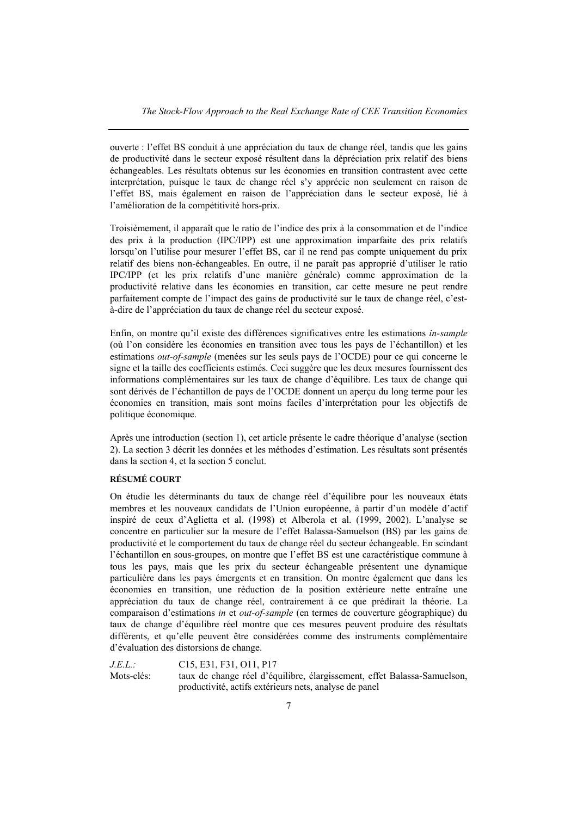ouverte : l'effet BS conduit à une appréciation du taux de change réel, tandis que les gains de productivité dans le secteur exposé résultent dans la dépréciation prix relatif des biens échangeables. Les résultats obtenus sur les économies en transition contrastent avec cette interprétation, puisque le taux de change réel s'y apprécie non seulement en raison de l'effet BS, mais également en raison de l'appréciation dans le secteur exposé, lié à l'amélioration de la compétitivité hors-prix.

Troisièmement, il apparaît que le ratio de l'indice des prix à la consommation et de l'indice des prix à la production (IPC/IPP) est une approximation imparfaite des prix relatifs lorsqu'on l'utilise pour mesurer l'effet BS, car il ne rend pas compte uniquement du prix relatif des biens non-échangeables. En outre, il ne paraît pas approprié d'utiliser le ratio IPC/IPP (et les prix relatifs d'une manière générale) comme approximation de la productivité relative dans les économies en transition, car cette mesure ne peut rendre parfaitement compte de l'impact des gains de productivité sur le taux de change réel, c'està-dire de l'appréciation du taux de change réel du secteur exposé.

Enfin, on montre qu'il existe des différences significatives entre les estimations *in-sample* (où l'on considère les économies en transition avec tous les pays de l'échantillon) et les estimations *out-of-sample* (menées sur les seuls pays de l'OCDE) pour ce qui concerne le signe et la taille des coefficients estimés. Ceci suggère que les deux mesures fournissent des informations complémentaires sur les taux de change d'équilibre. Les taux de change qui sont dérivés de l'échantillon de pays de l'OCDE donnent un aperçu du long terme pour les économies en transition, mais sont moins faciles d'interprétation pour les objectifs de politique économique.

Après une introduction (section 1), cet article présente le cadre théorique d'analyse (section 2). La section 3 décrit les données et les méthodes d'estimation. Les résultats sont présentés dans la section 4, et la section 5 conclut.

## **RÉSUMÉ COURT**

On étudie les déterminants du taux de change réel d'équilibre pour les nouveaux états membres et les nouveaux candidats de l'Union européenne, à partir d'un modèle d'actif inspiré de ceux d'Aglietta et al. (1998) et Alberola et al. (1999, 2002). L'analyse se concentre en particulier sur la mesure de l'effet Balassa-Samuelson (BS) par les gains de productivité et le comportement du taux de change réel du secteur échangeable. En scindant l'échantillon en sous-groupes, on montre que l'effet BS est une caractéristique commune à tous les pays, mais que les prix du secteur échangeable présentent une dynamique particulière dans les pays émergents et en transition. On montre également que dans les économies en transition, une réduction de la position extérieure nette entraîne une appréciation du taux de change réel, contrairement à ce que prédirait la théorie. La comparaison d'estimations *in* et *out-of-sample* (en termes de couverture géographique) du taux de change d'équilibre réel montre que ces mesures peuvent produire des résultats différents, et qu'elle peuvent être considérées comme des instruments complémentaire d'évaluation des distorsions de change.

*J.E.L.:* C15, E31, F31, O11, P17 Mots-clés: taux de change réel d'équilibre, élargissement, effet Balassa-Samuelson, productivité, actifs extérieurs nets, analyse de panel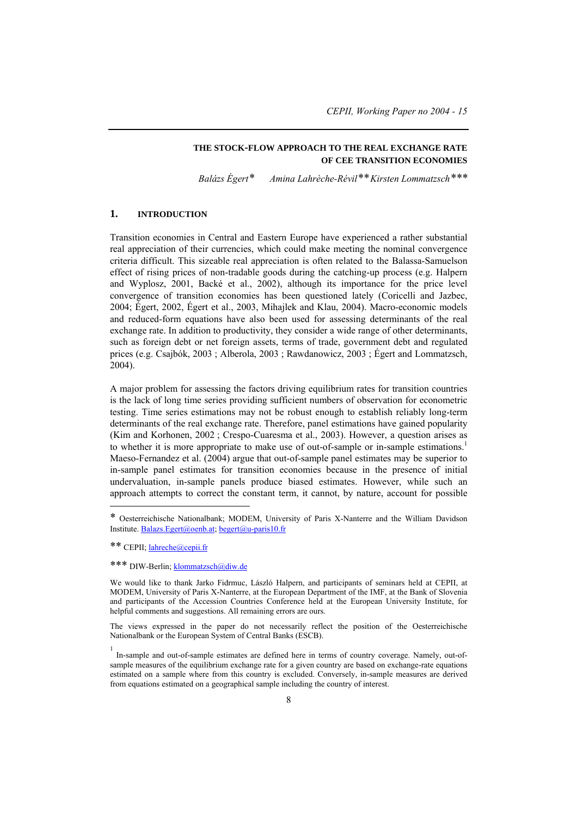## **THE STOCK-FLOW APPROACH TO THE REAL EXCHANGE RATE OF CEE TRANSITION ECONOMIES**

*Balázs Égert\** #  *Amina Lahrèche-Révil\*\*Kirsten Lommatzsch\*\*\**

## **1. INTRODUCTION**

Transition economies in Central and Eastern Europe have experienced a rather substantial real appreciation of their currencies, which could make meeting the nominal convergence criteria difficult. This sizeable real appreciation is often related to the Balassa-Samuelson effect of rising prices of non-tradable goods during the catching-up process (e.g. Halpern and Wyplosz, 2001, Backé et al., 2002), although its importance for the price level convergence of transition economies has been questioned lately (Coricelli and Jazbec, 2004; Égert, 2002, Égert et al., 2003, Mihajlek and Klau, 2004). Macro-economic models and reduced-form equations have also been used for assessing determinants of the real exchange rate. In addition to productivity, they consider a wide range of other determinants, such as foreign debt or net foreign assets, terms of trade, government debt and regulated prices (e.g. Csajbók, 2003 ; Alberola, 2003 ; Rawdanowicz, 2003 ; Égert and Lommatzsch, 2004).

A major problem for assessing the factors driving equilibrium rates for transition countries is the lack of long time series providing sufficient numbers of observation for econometric testing. Time series estimations may not be robust enough to establish reliably long-term determinants of the real exchange rate. Therefore, panel estimations have gained popularity (Kim and Korhonen, 2002 ; Crespo-Cuaresma et al., 2003). However, a question arises as to whether it is more appropriate to make use of out-of-sample or in-sample estimations.<sup>1</sup> Maeso-Fernandez et al. (2004) argue that out-of-sample panel estimates may be superior to in-sample panel estimates for transition economies because in the presence of initial undervaluation, in-sample panels produce biased estimates. However, while such an approach attempts to correct the constant term, it cannot, by nature, account for possible

<sup>\*</sup> Oesterreichische Nationalbank; MODEM, University of Paris X-Nanterre and the William Davidson Institute. Balazs.Egert@oenb.at; begert@u-paris10.fr

<sup>\*\*</sup> CEPII; lahreche@cepii.fr

<sup>\*\*\*</sup> DIW-Berlin; klommatzsch@diw.de

We would like to thank Jarko Fidrmuc, László Halpern, and participants of seminars held at CEPII, at MODEM, University of Paris X-Nanterre, at the European Department of the IMF, at the Bank of Slovenia and participants of the Accession Countries Conference held at the European University Institute, for helpful comments and suggestions. All remaining errors are ours.

The views expressed in the paper do not necessarily reflect the position of the Oesterreichische Nationalbank or the European System of Central Banks (ESCB).

<sup>1</sup> In-sample and out-of-sample estimates are defined here in terms of country coverage. Namely, out-ofsample measures of the equilibrium exchange rate for a given country are based on exchange-rate equations estimated on a sample where from this country is excluded. Conversely, in-sample measures are derived from equations estimated on a geographical sample including the country of interest.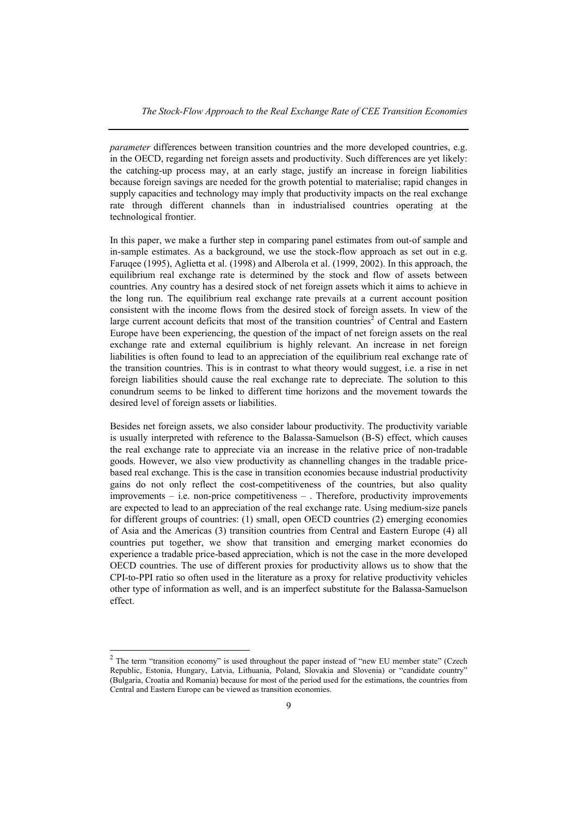*parameter* differences between transition countries and the more developed countries, e.g. in the OECD, regarding net foreign assets and productivity. Such differences are yet likely: the catching-up process may, at an early stage, justify an increase in foreign liabilities because foreign savings are needed for the growth potential to materialise; rapid changes in supply capacities and technology may imply that productivity impacts on the real exchange rate through different channels than in industrialised countries operating at the technological frontier.

In this paper, we make a further step in comparing panel estimates from out-of sample and in-sample estimates. As a background, we use the stock-flow approach as set out in e.g. Faruqee (1995), Aglietta et al. (1998) and Alberola et al. (1999, 2002). In this approach, the equilibrium real exchange rate is determined by the stock and flow of assets between countries. Any country has a desired stock of net foreign assets which it aims to achieve in the long run. The equilibrium real exchange rate prevails at a current account position consistent with the income flows from the desired stock of foreign assets. In view of the large current account deficits that most of the transition countries<sup>2</sup> of Central and Eastern Europe have been experiencing, the question of the impact of net foreign assets on the real exchange rate and external equilibrium is highly relevant. An increase in net foreign liabilities is often found to lead to an appreciation of the equilibrium real exchange rate of the transition countries. This is in contrast to what theory would suggest, i.e. a rise in net foreign liabilities should cause the real exchange rate to depreciate. The solution to this conundrum seems to be linked to different time horizons and the movement towards the desired level of foreign assets or liabilities.

Besides net foreign assets, we also consider labour productivity. The productivity variable is usually interpreted with reference to the Balassa-Samuelson (B-S) effect, which causes the real exchange rate to appreciate via an increase in the relative price of non-tradable goods. However, we also view productivity as channelling changes in the tradable pricebased real exchange. This is the case in transition economies because industrial productivity gains do not only reflect the cost-competitiveness of the countries, but also quality improvements – i.e. non-price competitiveness – . Therefore, productivity improvements are expected to lead to an appreciation of the real exchange rate. Using medium-size panels for different groups of countries: (1) small, open OECD countries (2) emerging economies of Asia and the Americas (3) transition countries from Central and Eastern Europe (4) all countries put together, we show that transition and emerging market economies do experience a tradable price-based appreciation, which is not the case in the more developed OECD countries. The use of different proxies for productivity allows us to show that the CPI-to-PPI ratio so often used in the literature as a proxy for relative productivity vehicles other type of information as well, and is an imperfect substitute for the Balassa-Samuelson effect.

 $2$  The term "transition economy" is used throughout the paper instead of "new EU member state" (Czech Republic, Estonia, Hungary, Latvia, Lithuania, Poland, Slovakia and Slovenia) or "candidate country" (Bulgaria, Croatia and Romania) because for most of the period used for the estimations, the countries from Central and Eastern Europe can be viewed as transition economies.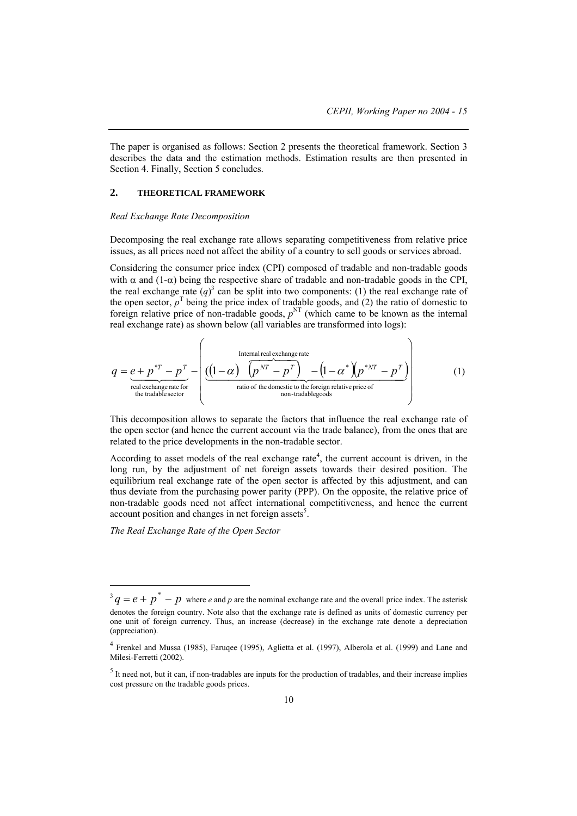The paper is organised as follows: Section 2 presents the theoretical framework. Section 3 describes the data and the estimation methods. Estimation results are then presented in Section 4. Finally, Section 5 concludes.

### **2. THEORETICAL FRAMEWORK**

#### *Real Exchange Rate Decomposition*

Decomposing the real exchange rate allows separating competitiveness from relative price issues, as all prices need not affect the ability of a country to sell goods or services abroad.

Considering the consumer price index (CPI) composed of tradable and non-tradable goods with  $\alpha$  and  $(1-\alpha)$  being the respective share of tradable and non-tradable goods in the CPI, the real exchange rate  $(q)^3$  can be split into two components: (1) the real exchange rate of the open sector,  $p<sup>T</sup>$  being the price index of tradable goods, and (2) the ratio of domestic to foreign relative price of non-tradable goods,  $p<sup>NT</sup>$  (which came to be known as the internal real exchange rate) as shown below (all variables are transformed into logs):

$$
q = e + p^{*T} - p^{T} - \left( \underbrace{\left( (1 - \alpha) \overbrace{\left( p^{NT} - p^{T} \right)}_{\text{real exchange rate}} - \left( 1 - \alpha^{*} \overbrace{\left( p^{*NT} - p^{T} \right)}_{\text{non-tradable sector}} - \left( 1 - \alpha^{*} \overbrace{\left( p^{*NT} - p^{T} \right)}_{\text{non-tradable goods}} \right) \right) \right)
$$
 (1)

This decomposition allows to separate the factors that influence the real exchange rate of the open sector (and hence the current account via the trade balance), from the ones that are related to the price developments in the non-tradable sector.

According to asset models of the real exchange rate<sup>4</sup>, the current account is driven, in the long run, by the adjustment of net foreign assets towards their desired position. The equilibrium real exchange rate of the open sector is affected by this adjustment, and can thus deviate from the purchasing power parity (PPP). On the opposite, the relative price of non-tradable goods need not affect international competitiveness, and hence the current account position and changes in net foreign assets<sup>5</sup>.

*The Real Exchange Rate of the Open Sector*

 $3 q = e + p^* - p$  where *e* and *p* are the nominal exchange rate and the overall price index. The asterisk denotes the foreign country. Note also that the exchange rate is defined as units of domestic currency per one unit of foreign currency. Thus, an increase (decrease) in the exchange rate denote a depreciation (appreciation).

<sup>&</sup>lt;sup>4</sup> Frenkel and Mussa (1985), Faruqee (1995), Aglietta et al. (1997), Alberola et al. (1999) and Lane and Milesi-Ferretti (2002).

 $<sup>5</sup>$  It need not, but it can, if non-tradables are inputs for the production of tradables, and their increase implies</sup> cost pressure on the tradable goods prices.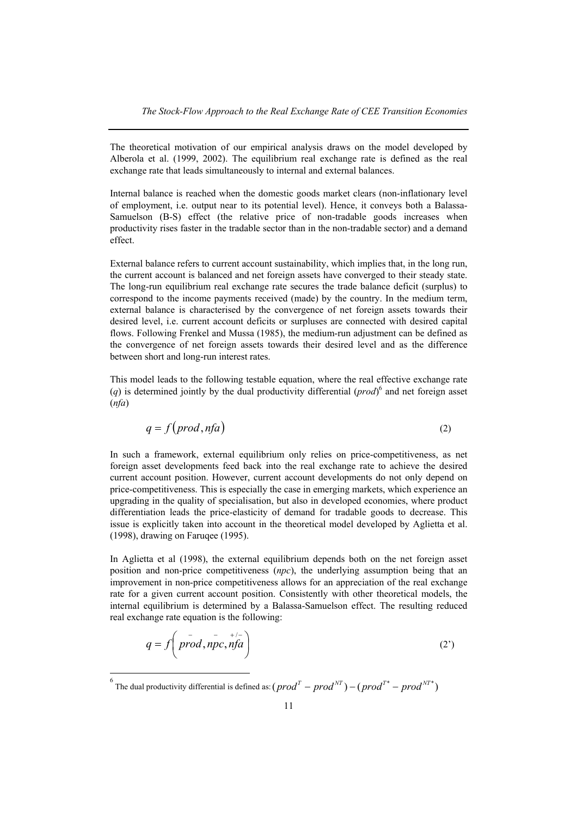The theoretical motivation of our empirical analysis draws on the model developed by Alberola et al. (1999, 2002). The equilibrium real exchange rate is defined as the real exchange rate that leads simultaneously to internal and external balances.

Internal balance is reached when the domestic goods market clears (non-inflationary level of employment, i.e. output near to its potential level). Hence, it conveys both a Balassa-Samuelson (B-S) effect (the relative price of non-tradable goods increases when productivity rises faster in the tradable sector than in the non-tradable sector) and a demand effect.

External balance refers to current account sustainability, which implies that, in the long run, the current account is balanced and net foreign assets have converged to their steady state. The long-run equilibrium real exchange rate secures the trade balance deficit (surplus) to correspond to the income payments received (made) by the country. In the medium term, external balance is characterised by the convergence of net foreign assets towards their desired level, i.e. current account deficits or surpluses are connected with desired capital flows. Following Frenkel and Mussa (1985), the medium-run adjustment can be defined as the convergence of net foreign assets towards their desired level and as the difference between short and long-run interest rates.

This model leads to the following testable equation, where the real effective exchange rate (*q*) is determined jointly by the dual productivity differential (*prod*) 6 and net foreign asset (*nfa*)

$$
q = f(prod, nfa) \tag{2}
$$

In such a framework, external equilibrium only relies on price-competitiveness, as net foreign asset developments feed back into the real exchange rate to achieve the desired current account position. However, current account developments do not only depend on price-competitiveness. This is especially the case in emerging markets, which experience an upgrading in the quality of specialisation, but also in developed economies, where product differentiation leads the price-elasticity of demand for tradable goods to decrease. This issue is explicitly taken into account in the theoretical model developed by Aglietta et al. (1998), drawing on Faruqee (1995).

In Aglietta et al (1998), the external equilibrium depends both on the net foreign asset position and non-price competitiveness (*npc*), the underlying assumption being that an improvement in non-price competitiveness allows for an appreciation of the real exchange rate for a given current account position. Consistently with other theoretical models, the internal equilibrium is determined by a Balassa-Samuelson effect. The resulting reduced real exchange rate equation is the following:

$$
q = f\left(p\right) \left(p\right) \left(p\right) \left(p\right) \tag{2'}
$$

6 The dual productivity differential is defined as:  $(prod^{T} - prod^{NT}) - (prod^{T*} - prod^{NT*})$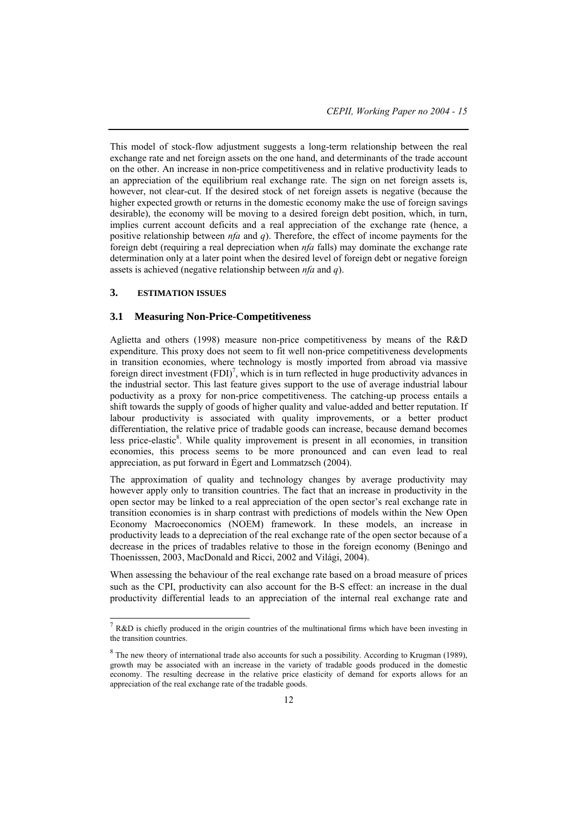This model of stock-flow adjustment suggests a long-term relationship between the real exchange rate and net foreign assets on the one hand, and determinants of the trade account on the other. An increase in non-price competitiveness and in relative productivity leads to an appreciation of the equilibrium real exchange rate. The sign on net foreign assets is, however, not clear-cut. If the desired stock of net foreign assets is negative (because the higher expected growth or returns in the domestic economy make the use of foreign savings desirable), the economy will be moving to a desired foreign debt position, which, in turn, implies current account deficits and a real appreciation of the exchange rate (hence, a positive relationship between *nfa* and *q*). Therefore, the effect of income payments for the foreign debt (requiring a real depreciation when *nfa* falls) may dominate the exchange rate determination only at a later point when the desired level of foreign debt or negative foreign assets is achieved (negative relationship between *nfa* and *q*).

## **3. ESTIMATION ISSUES**

l

## **3.1 Measuring Non-Price-Competitiveness**

Aglietta and others (1998) measure non-price competitiveness by means of the R&D expenditure. This proxy does not seem to fit well non-price competitiveness developments in transition economies, where technology is mostly imported from abroad via massive foreign direct investment  $(FDI)^7$ , which is in turn reflected in huge productivity advances in the industrial sector. This last feature gives support to the use of average industrial labour poductivity as a proxy for non-price competitiveness. The catching-up process entails a shift towards the supply of goods of higher quality and value-added and better reputation. If labour productivity is associated with quality improvements, or a better product differentiation, the relative price of tradable goods can increase, because demand becomes less price-elastic<sup>8</sup>. While quality improvement is present in all economies, in transition economies, this process seems to be more pronounced and can even lead to real appreciation, as put forward in Égert and Lommatzsch (2004).

The approximation of quality and technology changes by average productivity may however apply only to transition countries. The fact that an increase in productivity in the open sector may be linked to a real appreciation of the open sector's real exchange rate in transition economies is in sharp contrast with predictions of models within the New Open Economy Macroeconomics (NOEM) framework. In these models, an increase in productivity leads to a depreciation of the real exchange rate of the open sector because of a decrease in the prices of tradables relative to those in the foreign economy (Beningo and Thoenisssen, 2003, MacDonald and Ricci, 2002 and Világi, 2004).

When assessing the behaviour of the real exchange rate based on a broad measure of prices such as the CPI, productivity can also account for the B-S effect: an increase in the dual productivity differential leads to an appreciation of the internal real exchange rate and

<sup>&</sup>lt;sup>7</sup> R&D is chiefly produced in the origin countries of the multinational firms which have been investing in the transition countries.

 $8$  The new theory of international trade also accounts for such a possibility. According to Krugman (1989), growth may be associated with an increase in the variety of tradable goods produced in the domestic economy. The resulting decrease in the relative price elasticity of demand for exports allows for an appreciation of the real exchange rate of the tradable goods.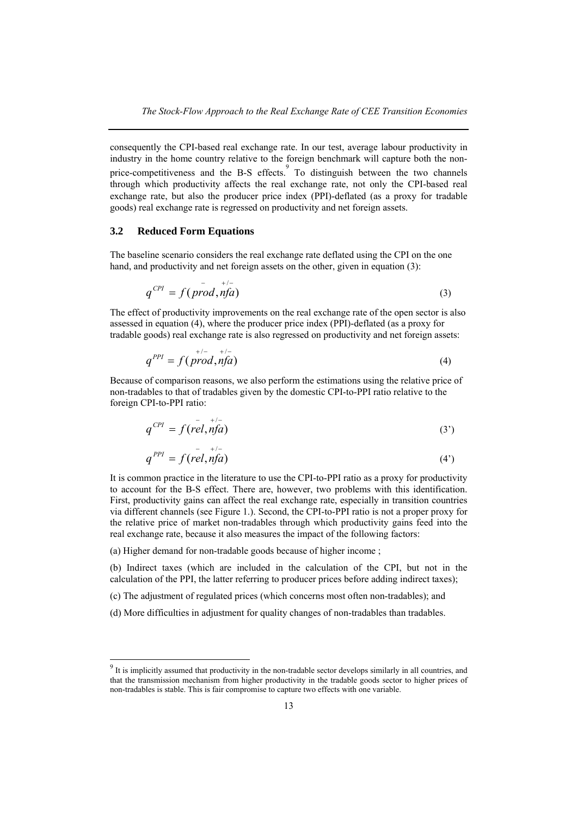consequently the CPI-based real exchange rate. In our test, average labour productivity in industry in the home country relative to the foreign benchmark will capture both the nonprice-competitiveness and the B-S effects. To distinguish between the two channels through which productivity affects the real exchange rate, not only the CPI-based real exchange rate, but also the producer price index (PPI)-deflated (as a proxy for tradable goods) real exchange rate is regressed on productivity and net foreign assets.

## **3.2 Reduced Form Equations**

The baseline scenario considers the real exchange rate deflated using the CPI on the one hand, and productivity and net foreign assets on the other, given in equation (3):

$$
q^{CPI} = f(prod, nfa) \tag{3}
$$

The effect of productivity improvements on the real exchange rate of the open sector is also assessed in equation (4), where the producer price index (PPI)-deflated (as a proxy for tradable goods) real exchange rate is also regressed on productivity and net foreign assets:

$$
q^{PPI} = f(prod, nfa) \tag{4}
$$

Because of comparison reasons, we also perform the estimations using the relative price of non-tradables to that of tradables given by the domestic CPI-to-PPI ratio relative to the foreign CPI-to-PPI ratio:

$$
q^{CPI} = f(\stackrel{\text{--}{rel}}{n\text{fa}})^{+/-}
$$
 (3')

$$
q^{PPI} = f(\stackrel{\text{1}}{rel}, \stackrel{\text{1}}{nf}\stackrel{\text{1}}{a}) \tag{4'}
$$

It is common practice in the literature to use the CPI-to-PPI ratio as a proxy for productivity to account for the B-S effect. There are, however, two problems with this identification. First, productivity gains can affect the real exchange rate, especially in transition countries via different channels (see Figure 1.). Second, the CPI-to-PPI ratio is not a proper proxy for the relative price of market non-tradables through which productivity gains feed into the real exchange rate, because it also measures the impact of the following factors:

(a) Higher demand for non-tradable goods because of higher income ;

(b) Indirect taxes (which are included in the calculation of the CPI, but not in the calculation of the PPI, the latter referring to producer prices before adding indirect taxes);

(c) The adjustment of regulated prices (which concerns most often non-tradables); and

(d) More difficulties in adjustment for quality changes of non-tradables than tradables.

<sup>&</sup>lt;sup>9</sup> It is implicitly assumed that productivity in the non-tradable sector develops similarly in all countries, and that the transmission mechanism from higher productivity in the tradable goods sector to higher prices of non-tradables is stable. This is fair compromise to capture two effects with one variable.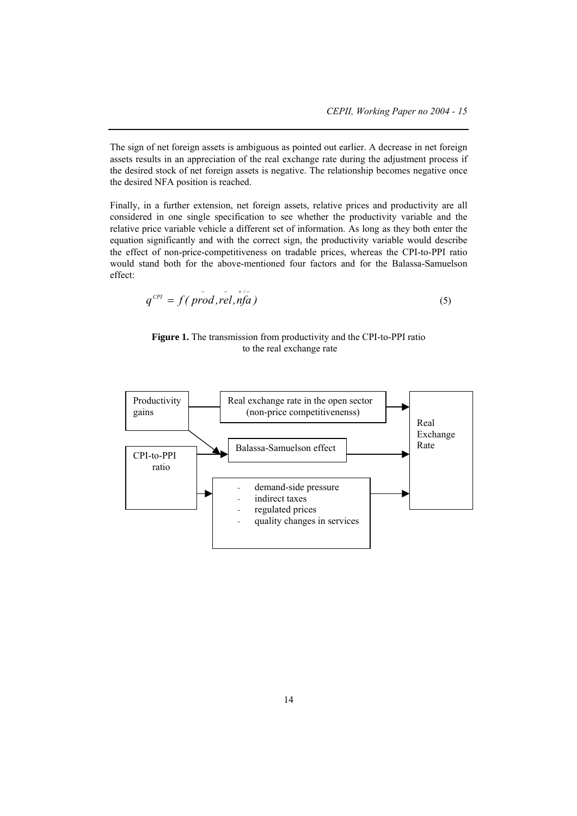The sign of net foreign assets is ambiguous as pointed out earlier. A decrease in net foreign assets results in an appreciation of the real exchange rate during the adjustment process if the desired stock of net foreign assets is negative. The relationship becomes negative once the desired NFA position is reached.

Finally, in a further extension, net foreign assets, relative prices and productivity are all considered in one single specification to see whether the productivity variable and the relative price variable vehicle a different set of information. As long as they both enter the equation significantly and with the correct sign, the productivity variable would describe the effect of non-price-competitiveness on tradable prices, whereas the CPI-to-PPI ratio would stand both for the above-mentioned four factors and for the Balassa-Samuelson effect:

$$
q^{CPI} = f(\text{prod}, \text{rel}, \text{nfa}) \tag{5}
$$

**Figure 1.** The transmission from productivity and the CPI-to-PPI ratio to the real exchange rate

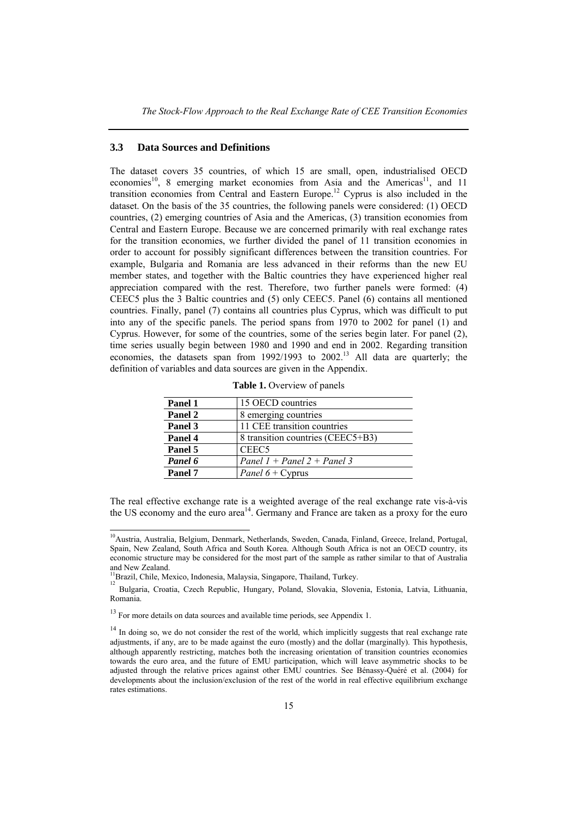### **3.3 Data Sources and Definitions**

The dataset covers 35 countries, of which 15 are small, open, industrialised OECD economies<sup>10</sup>, 8 emerging market economies from Asia and the Americas<sup>11</sup>, and 11 transition economies from Central and Eastern Europe.<sup>12</sup> Cyprus is also included in the dataset. On the basis of the 35 countries, the following panels were considered: (1) OECD countries, (2) emerging countries of Asia and the Americas, (3) transition economies from Central and Eastern Europe. Because we are concerned primarily with real exchange rates for the transition economies, we further divided the panel of 11 transition economies in order to account for possibly significant differences between the transition countries. For example, Bulgaria and Romania are less advanced in their reforms than the new EU member states, and together with the Baltic countries they have experienced higher real appreciation compared with the rest. Therefore, two further panels were formed: (4) CEEC5 plus the 3 Baltic countries and (5) only CEEC5. Panel (6) contains all mentioned countries. Finally, panel (7) contains all countries plus Cyprus, which was difficult to put into any of the specific panels. The period spans from 1970 to 2002 for panel (1) and Cyprus. However, for some of the countries, some of the series begin later. For panel (2), time series usually begin between 1980 and 1990 and end in 2002. Regarding transition economies, the datasets span from  $1992/1993$  to  $2002<sup>13</sup>$  All data are quarterly; the definition of variables and data sources are given in the Appendix.

| Panel 1 | 15 OECD countries                 |
|---------|-----------------------------------|
| Panel 2 | 8 emerging countries              |
| Panel 3 | 11 CEE transition countries       |
| Panel 4 | 8 transition countries (CEEC5+B3) |
| Panel 5 | CEEC <sub>5</sub>                 |
| Panel 6 | Panel 1 + Panel 2 + Panel 3       |
| Panel 7 | <i>Panel</i> $6 + C$ yprus        |

**Table 1.** Overview of panels

The real effective exchange rate is a weighted average of the real exchange rate vis-à-vis the US economy and the euro area<sup>14</sup>. Germany and France are taken as a proxy for the euro

<sup>&</sup>lt;sup>10</sup>Austria, Australia, Belgium, Denmark, Netherlands, Sweden, Canada, Finland, Greece, Ireland, Portugal, Spain, New Zealand, South Africa and South Korea. Although South Africa is not an OECD country, its economic structure may be considered for the most part of the sample as rather similar to that of Australia and New Zealand.

<sup>&</sup>lt;sup>1</sup>Brazil, Chile, Mexico, Indonesia, Malaysia, Singapore, Thailand, Turkey.

<sup>&</sup>lt;sup>12</sup> Bulgaria, Croatia, Czech Republic, Hungary, Poland, Slovakia, Slovenia, Estonia, Latvia, Lithuania, Romania.

<sup>&</sup>lt;sup>13</sup> For more details on data sources and available time periods, see Appendix 1.

<sup>&</sup>lt;sup>14</sup> In doing so, we do not consider the rest of the world, which implicitly suggests that real exchange rate adjustments, if any, are to be made against the euro (mostly) and the dollar (marginally). This hypothesis, although apparently restricting, matches both the increasing orientation of transition countries economies towards the euro area, and the future of EMU participation, which will leave asymmetric shocks to be adjusted through the relative prices against other EMU countries. See Bénassy-Quéré et al. (2004) for developments about the inclusion/exclusion of the rest of the world in real effective equilibrium exchange rates estimations.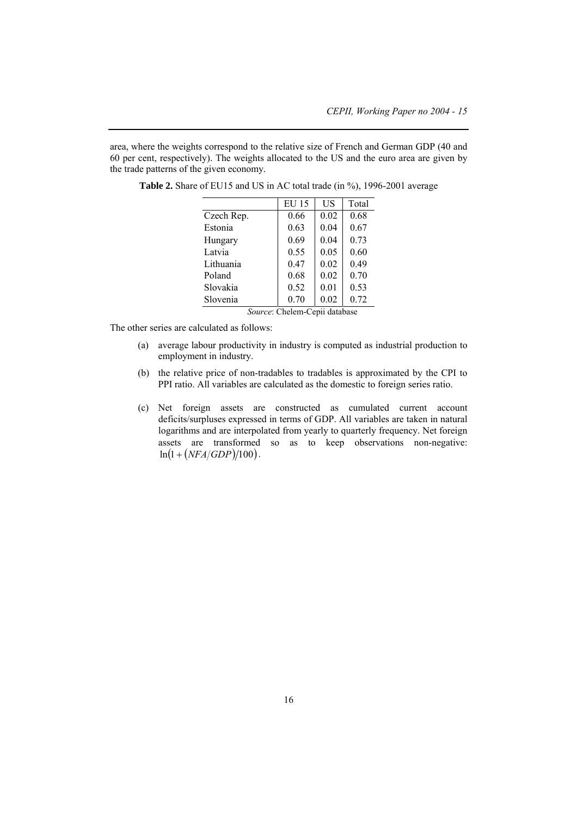area, where the weights correspond to the relative size of French and German GDP (40 and 60 per cent, respectively). The weights allocated to the US and the euro area are given by the trade patterns of the given economy.

|            | <b>EU 15</b> | US   | Total |
|------------|--------------|------|-------|
| Czech Rep. | 0.66         | 0.02 | 0.68  |
| Estonia    | 0.63         | 0.04 | 0.67  |
| Hungary    | 0.69         | 0.04 | 0.73  |
| Latvia     | 0.55         | 0.05 | 0.60  |
| Lithuania  | 0.47         | 0.02 | 0.49  |
| Poland     | 0.68         | 0.02 | 0.70  |
| Slovakia   | 0.52         | 0.01 | 0.53  |
| Slovenia   | 0.70         | 0.02 | 0.72  |

Table 2. Share of EU15 and US in AC total trade (in %), 1996-2001 average

*Source*: Chelem-Cepii database

The other series are calculated as follows:

- (a) average labour productivity in industry is computed as industrial production to employment in industry.
- (b) the relative price of non-tradables to tradables is approximated by the CPI to PPI ratio. All variables are calculated as the domestic to foreign series ratio.
- (c) Net foreign assets are constructed as cumulated current account deficits/surpluses expressed in terms of GDP. All variables are taken in natural logarithms and are interpolated from yearly to quarterly frequency. Net foreign assets are transformed so as to keep observations non-negative:  $ln(1 + (NFA/GDP)/100)$ .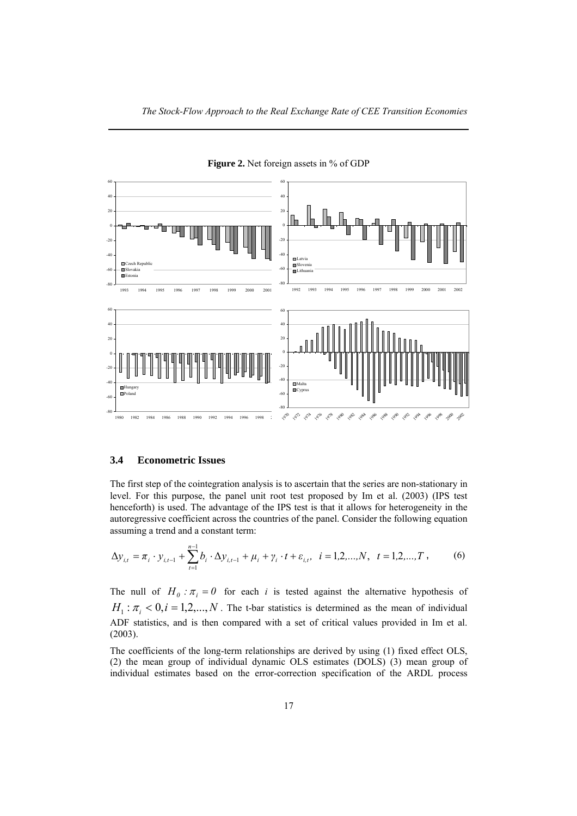

**Figure 2.** Net foreign assets in % of GDP

## **3.4 Econometric Issues**

The first step of the cointegration analysis is to ascertain that the series are non-stationary in level. For this purpose, the panel unit root test proposed by Im et al. (2003) (IPS test henceforth) is used. The advantage of the IPS test is that it allows for heterogeneity in the autoregressive coefficient across the countries of the panel. Consider the following equation assuming a trend and a constant term:

$$
\Delta y_{i,t} = \pi_i \cdot y_{i,t-1} + \sum_{i=1}^{n-1} b_i \cdot \Delta y_{i,t-1} + \mu_i + \gamma_i \cdot t + \varepsilon_{i,t}, \quad i = 1, 2, ..., N, \quad t = 1, 2, ..., T,
$$
 (6)

The null of  $H_0: \pi_i = 0$  for each *i* is tested against the alternative hypothesis of  $H_1: \pi_i < 0, i = 1, 2, \ldots, N$ . The t-bar statistics is determined as the mean of individual ADF statistics, and is then compared with a set of critical values provided in Im et al. (2003).

The coefficients of the long-term relationships are derived by using (1) fixed effect OLS, (2) the mean group of individual dynamic OLS estimates (DOLS) (3) mean group of individual estimates based on the error-correction specification of the ARDL process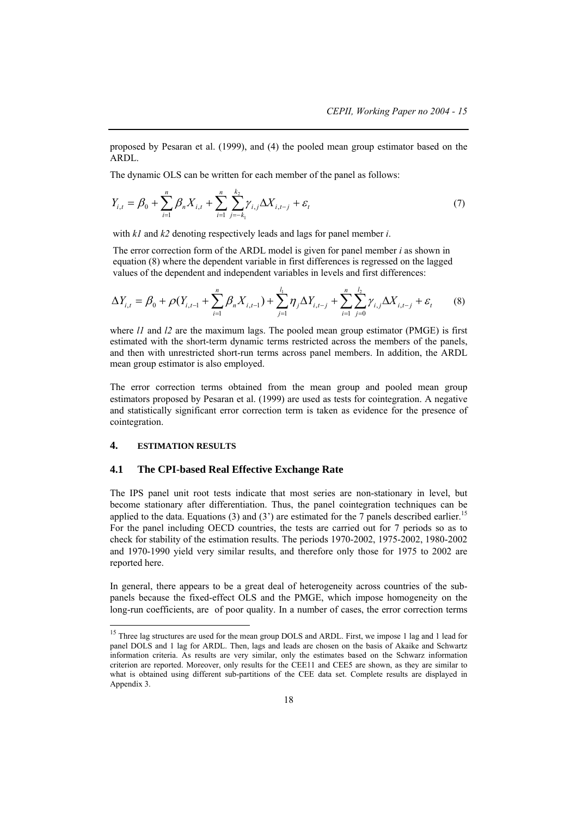proposed by Pesaran et al. (1999), and (4) the pooled mean group estimator based on the ARDL.

The dynamic OLS can be written for each member of the panel as follows:

$$
Y_{i,t} = \beta_0 + \sum_{i=1}^n \beta_n X_{i,t} + \sum_{i=1}^n \sum_{j=-k_1}^{k_2} \gamma_{i,j} \Delta X_{i,t-j} + \varepsilon_t
$$
\n(7)

with *k1* and *k2* denoting respectively leads and lags for panel member *i*.

The error correction form of the ARDL model is given for panel member *i* as shown in equation (8) where the dependent variable in first differences is regressed on the lagged values of the dependent and independent variables in levels and first differences:

$$
\Delta Y_{i,t} = \beta_0 + \rho (Y_{i,t-1} + \sum_{i=1}^n \beta_i X_{i,t-1}) + \sum_{j=1}^{l_1} \eta_j \Delta Y_{i,t-j} + \sum_{i=1}^n \sum_{j=0}^{l_2} \gamma_{i,j} \Delta X_{i,t-j} + \varepsilon_t
$$
(8)

where *l1* and *l2* are the maximum lags. The pooled mean group estimator (PMGE) is first estimated with the short-term dynamic terms restricted across the members of the panels, and then with unrestricted short-run terms across panel members. In addition, the ARDL mean group estimator is also employed.

The error correction terms obtained from the mean group and pooled mean group estimators proposed by Pesaran et al. (1999) are used as tests for cointegration. A negative and statistically significant error correction term is taken as evidence for the presence of cointegration.

## **4. ESTIMATION RESULTS**

l

## **4.1 The CPI-based Real Effective Exchange Rate**

The IPS panel unit root tests indicate that most series are non-stationary in level, but become stationary after differentiation. Thus, the panel cointegration techniques can be applied to the data. Equations (3) and (3') are estimated for the 7 panels described earlier.<sup>15</sup> For the panel including OECD countries, the tests are carried out for 7 periods so as to check for stability of the estimation results. The periods 1970-2002, 1975-2002, 1980-2002 and 1970-1990 yield very similar results, and therefore only those for 1975 to 2002 are reported here.

In general, there appears to be a great deal of heterogeneity across countries of the subpanels because the fixed-effect OLS and the PMGE, which impose homogeneity on the long-run coefficients, are of poor quality. In a number of cases, the error correction terms

<sup>&</sup>lt;sup>15</sup> Three lag structures are used for the mean group DOLS and ARDL. First, we impose 1 lag and 1 lead for panel DOLS and 1 lag for ARDL. Then, lags and leads are chosen on the basis of Akaike and Schwartz information criteria. As results are very similar, only the estimates based on the Schwarz information criterion are reported. Moreover, only results for the CEE11 and CEE5 are shown, as they are similar to what is obtained using different sub-partitions of the CEE data set. Complete results are displayed in Appendix 3.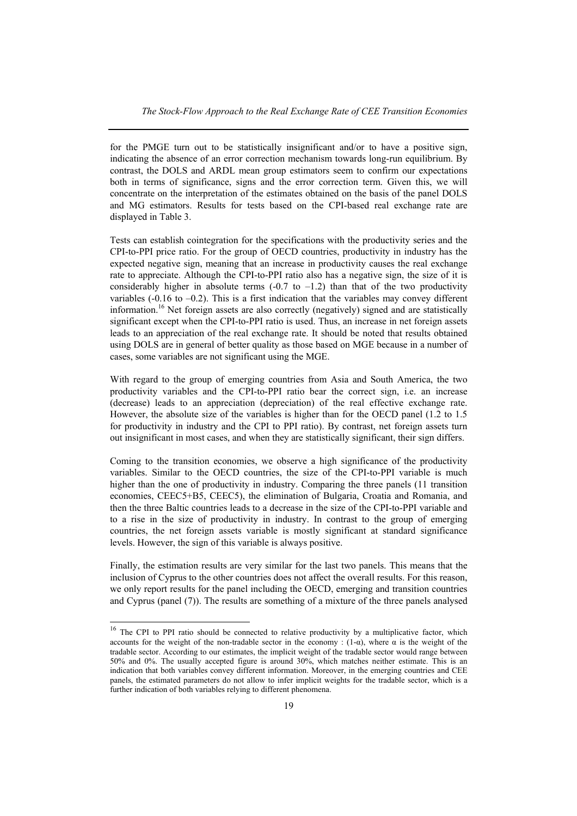for the PMGE turn out to be statistically insignificant and/or to have a positive sign, indicating the absence of an error correction mechanism towards long-run equilibrium. By contrast, the DOLS and ARDL mean group estimators seem to confirm our expectations both in terms of significance, signs and the error correction term. Given this, we will concentrate on the interpretation of the estimates obtained on the basis of the panel DOLS and MG estimators. Results for tests based on the CPI-based real exchange rate are displayed in Table 3.

Tests can establish cointegration for the specifications with the productivity series and the CPI-to-PPI price ratio. For the group of OECD countries, productivity in industry has the expected negative sign, meaning that an increase in productivity causes the real exchange rate to appreciate. Although the CPI-to-PPI ratio also has a negative sign, the size of it is considerably higher in absolute terms  $(-0.7 \text{ to } -1.2)$  than that of the two productivity variables  $(-0.16 \text{ to } -0.2)$ . This is a first indication that the variables may convey different information.<sup>16</sup> Net foreign assets are also correctly (negatively) signed and are statistically significant except when the CPI-to-PPI ratio is used. Thus, an increase in net foreign assets leads to an appreciation of the real exchange rate. It should be noted that results obtained using DOLS are in general of better quality as those based on MGE because in a number of cases, some variables are not significant using the MGE.

With regard to the group of emerging countries from Asia and South America, the two productivity variables and the CPI-to-PPI ratio bear the correct sign, i.e. an increase (decrease) leads to an appreciation (depreciation) of the real effective exchange rate. However, the absolute size of the variables is higher than for the OECD panel (1.2 to 1.5 for productivity in industry and the CPI to PPI ratio). By contrast, net foreign assets turn out insignificant in most cases, and when they are statistically significant, their sign differs.

Coming to the transition economies, we observe a high significance of the productivity variables. Similar to the OECD countries, the size of the CPI-to-PPI variable is much higher than the one of productivity in industry. Comparing the three panels (11 transition economies, CEEC5+B5, CEEC5), the elimination of Bulgaria, Croatia and Romania, and then the three Baltic countries leads to a decrease in the size of the CPI-to-PPI variable and to a rise in the size of productivity in industry. In contrast to the group of emerging countries, the net foreign assets variable is mostly significant at standard significance levels. However, the sign of this variable is always positive.

Finally, the estimation results are very similar for the last two panels. This means that the inclusion of Cyprus to the other countries does not affect the overall results. For this reason, we only report results for the panel including the OECD, emerging and transition countries and Cyprus (panel (7)). The results are something of a mixture of the three panels analysed

 $16$  The CPI to PPI ratio should be connected to relative productivity by a multiplicative factor, which accounts for the weight of the non-tradable sector in the economy :  $(1-\alpha)$ , where  $\alpha$  is the weight of the tradable sector. According to our estimates, the implicit weight of the tradable sector would range between 50% and 0%. The usually accepted figure is around 30%, which matches neither estimate. This is an indication that both variables convey different information. Moreover, in the emerging countries and CEE panels, the estimated parameters do not allow to infer implicit weights for the tradable sector, which is a further indication of both variables relying to different phenomena.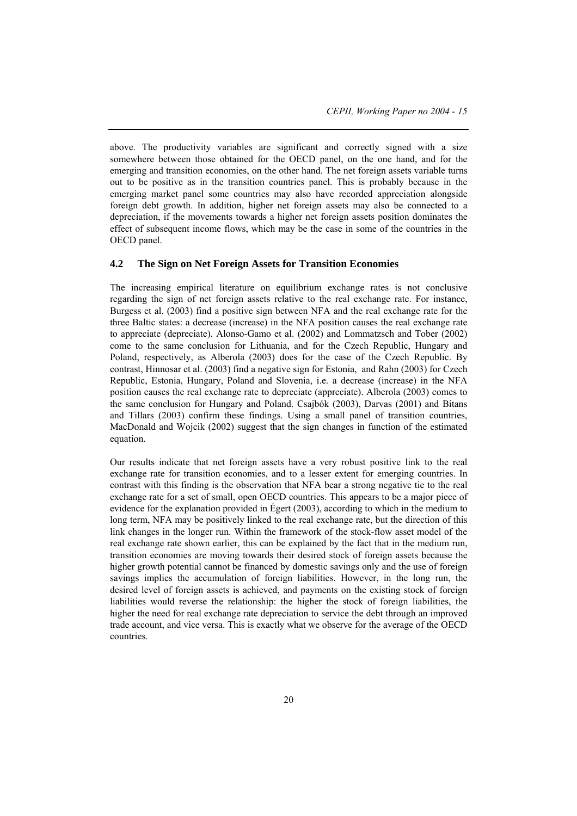above. The productivity variables are significant and correctly signed with a size somewhere between those obtained for the OECD panel, on the one hand, and for the emerging and transition economies, on the other hand. The net foreign assets variable turns out to be positive as in the transition countries panel. This is probably because in the emerging market panel some countries may also have recorded appreciation alongside foreign debt growth. In addition, higher net foreign assets may also be connected to a depreciation, if the movements towards a higher net foreign assets position dominates the effect of subsequent income flows, which may be the case in some of the countries in the OECD panel.

### **4.2 The Sign on Net Foreign Assets for Transition Economies**

The increasing empirical literature on equilibrium exchange rates is not conclusive regarding the sign of net foreign assets relative to the real exchange rate. For instance, Burgess et al. (2003) find a positive sign between NFA and the real exchange rate for the three Baltic states: a decrease (increase) in the NFA position causes the real exchange rate to appreciate (depreciate). Alonso-Gamo et al. (2002) and Lommatzsch and Tober (2002) come to the same conclusion for Lithuania, and for the Czech Republic, Hungary and Poland, respectively, as Alberola (2003) does for the case of the Czech Republic. By contrast, Hinnosar et al. (2003) find a negative sign for Estonia, and Rahn (2003) for Czech Republic, Estonia, Hungary, Poland and Slovenia, i.e. a decrease (increase) in the NFA position causes the real exchange rate to depreciate (appreciate). Alberola (2003) comes to the same conclusion for Hungary and Poland. Csajbók (2003), Darvas (2001) and Bitans and Tillars (2003) confirm these findings. Using a small panel of transition countries, MacDonald and Wojcik (2002) suggest that the sign changes in function of the estimated equation.

Our results indicate that net foreign assets have a very robust positive link to the real exchange rate for transition economies, and to a lesser extent for emerging countries. In contrast with this finding is the observation that NFA bear a strong negative tie to the real exchange rate for a set of small, open OECD countries. This appears to be a major piece of evidence for the explanation provided in Égert (2003), according to which in the medium to long term, NFA may be positively linked to the real exchange rate, but the direction of this link changes in the longer run. Within the framework of the stock-flow asset model of the real exchange rate shown earlier, this can be explained by the fact that in the medium run, transition economies are moving towards their desired stock of foreign assets because the higher growth potential cannot be financed by domestic savings only and the use of foreign savings implies the accumulation of foreign liabilities. However, in the long run, the desired level of foreign assets is achieved, and payments on the existing stock of foreign liabilities would reverse the relationship: the higher the stock of foreign liabilities, the higher the need for real exchange rate depreciation to service the debt through an improved trade account, and vice versa. This is exactly what we observe for the average of the OECD countries.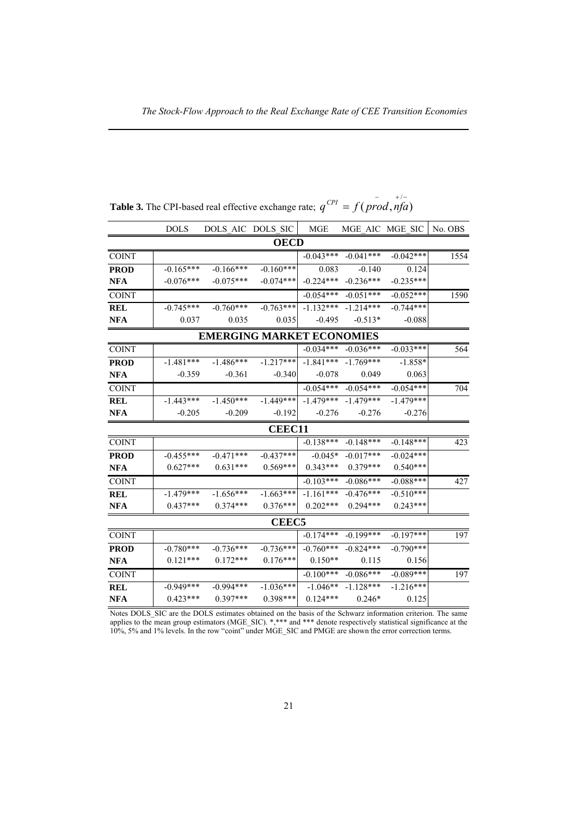|              | <b>DOLS</b> |                                  | DOLS AIC DOLS SIC | <b>MGE</b>  |             | MGE AIC MGE SIC | No. OBS |
|--------------|-------------|----------------------------------|-------------------|-------------|-------------|-----------------|---------|
|              |             |                                  | <b>OECD</b>       |             |             |                 |         |
| <b>COINT</b> |             |                                  |                   | $-0.043***$ | $-0.041***$ | $-0.042***$     | 1554    |
| <b>PROD</b>  | $-0.165***$ | $-0.166***$                      | $-0.160***$       | 0.083       | $-0.140$    | 0.124           |         |
| <b>NFA</b>   | $-0.076***$ | $-0.075***$                      | $-0.074***$       | $-0.224***$ | $-0.236***$ | $-0.235***$     |         |
| <b>COINT</b> |             |                                  |                   | $-0.054***$ | $-0.051***$ | $-0.052***$     | 1590    |
| <b>REL</b>   | $-0.745***$ | $-0.760***$                      | $-0.763***$       | $-1.132***$ | $-1.214***$ | $-0.744***$     |         |
| <b>NFA</b>   | 0.037       | 0.035                            | 0.035             | $-0.495$    | $-0.513*$   | $-0.088$        |         |
|              |             | <b>EMERGING MARKET ECONOMIES</b> |                   |             |             |                 |         |
| <b>COINT</b> |             |                                  |                   | $-0.034***$ | $-0.036***$ | $-0.033***$     | 564     |
| <b>PROD</b>  | $-1.481***$ | $-1.486***$                      | $-1.217***$       | $-1.841***$ | $-1.769***$ | $-1.858*$       |         |
| <b>NFA</b>   | $-0.359$    | $-0.361$                         | $-0.340$          | $-0.078$    | 0.049       | 0.063           |         |
| <b>COINT</b> |             |                                  |                   | $-0.054***$ | $-0.054***$ | $-0.054***$     | 704     |
| <b>REL</b>   | $-1.443***$ | $-1.450***$                      | $-1.449***$       | $-1.479***$ | $-1.479***$ | $-1.479***$     |         |
| <b>NFA</b>   | $-0.205$    | $-0.209$                         | $-0.192$          | $-0.276$    | $-0.276$    | $-0.276$        |         |
|              |             |                                  | <b>CEEC11</b>     |             |             |                 |         |
| <b>COINT</b> |             |                                  |                   | $-0.138***$ | $-0.148***$ | $-0.148***$     | 423     |
| <b>PROD</b>  | $-0.455***$ | $-0.471***$                      | $-0.437***$       | $-0.045*$   | $-0.017***$ | $-0.024***$     |         |
| <b>NFA</b>   | $0.627***$  | $0.631***$                       | $0.569***$        | $0.343***$  | $0.379***$  | $0.540***$      |         |
| <b>COINT</b> |             |                                  |                   | $-0.103***$ | $-0.086***$ | $-0.088***$     | 427     |
| <b>REL</b>   | $-1.479***$ | $-1.656***$                      | $-1.663***$       | $-1.161***$ | $-0.476***$ | $-0.510***$     |         |
| <b>NFA</b>   | $0.437***$  | $0.374***$                       | $0.376***$        | $0.202***$  | $0.294***$  | $0.243***$      |         |
|              |             |                                  | <b>CEEC5</b>      |             |             |                 |         |
| <b>COINT</b> |             |                                  |                   | $-0.174***$ | $-0.199***$ | $-0.197***$     | 197     |
| <b>PROD</b>  | $-0.780***$ | $-0.736***$                      | $-0.736***$       | $-0.760***$ | $-0.824***$ | $-0.790***$     |         |
| <b>NFA</b>   | $0.121***$  | $0.172***$                       | $0.176***$        | $0.150**$   | 0.115       | 0.156           |         |
| <b>COINT</b> |             |                                  |                   | $-0.100***$ | $-0.086***$ | $-0.089***$     | 197     |
| <b>REL</b>   | $-0.949***$ | $-0.994***$                      | $-1.036***$       | $-1.046**$  | $-1.128***$ | $-1.216***$     |         |
| <b>NFA</b>   | $0.423***$  | $0.397***$                       | $0.398***$        | $0.124***$  | $0.246*$    | 0.125           |         |

**Table 3.** The CPI-based real effective exchange rate;  $q^{CPI} = f(prod, nfa)$ 

Notes DOLS\_SIC are the DOLS estimates obtained on the basis of the Schwarz information criterion. The same applies to the mean group estimators (MGE\_SIC).  $*,**$  and  $***$  denote respectively statistical significance at the 10%, 5% and 1% levels. In the row "coint" under MGE\_SIC and PMGE are shown the error correction terms.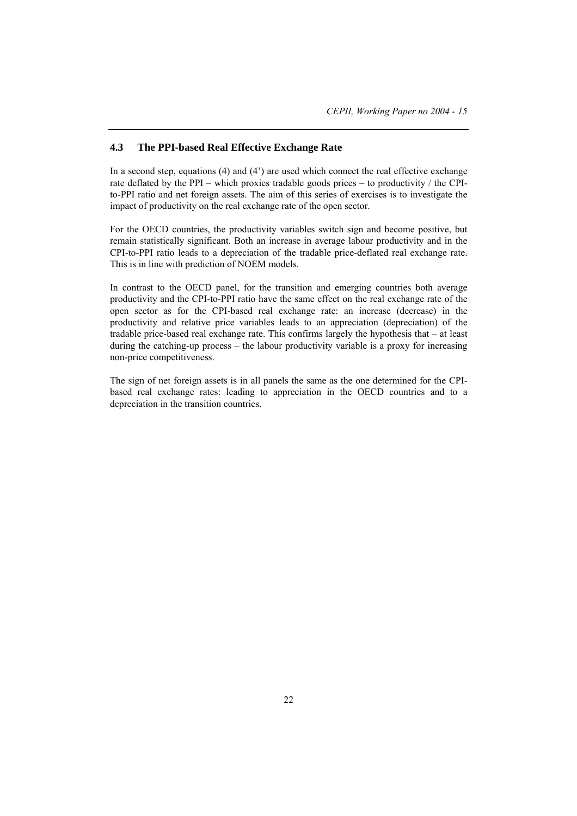## **4.3 The PPI-based Real Effective Exchange Rate**

In a second step, equations  $(4)$  and  $(4')$  are used which connect the real effective exchange rate deflated by the PPI – which proxies tradable goods prices – to productivity / the CPIto-PPI ratio and net foreign assets. The aim of this series of exercises is to investigate the impact of productivity on the real exchange rate of the open sector.

For the OECD countries, the productivity variables switch sign and become positive, but remain statistically significant. Both an increase in average labour productivity and in the CPI-to-PPI ratio leads to a depreciation of the tradable price-deflated real exchange rate. This is in line with prediction of NOEM models.

In contrast to the OECD panel, for the transition and emerging countries both average productivity and the CPI-to-PPI ratio have the same effect on the real exchange rate of the open sector as for the CPI-based real exchange rate: an increase (decrease) in the productivity and relative price variables leads to an appreciation (depreciation) of the tradable price-based real exchange rate. This confirms largely the hypothesis that – at least during the catching-up process – the labour productivity variable is a proxy for increasing non-price competitiveness.

The sign of net foreign assets is in all panels the same as the one determined for the CPIbased real exchange rates: leading to appreciation in the OECD countries and to a depreciation in the transition countries.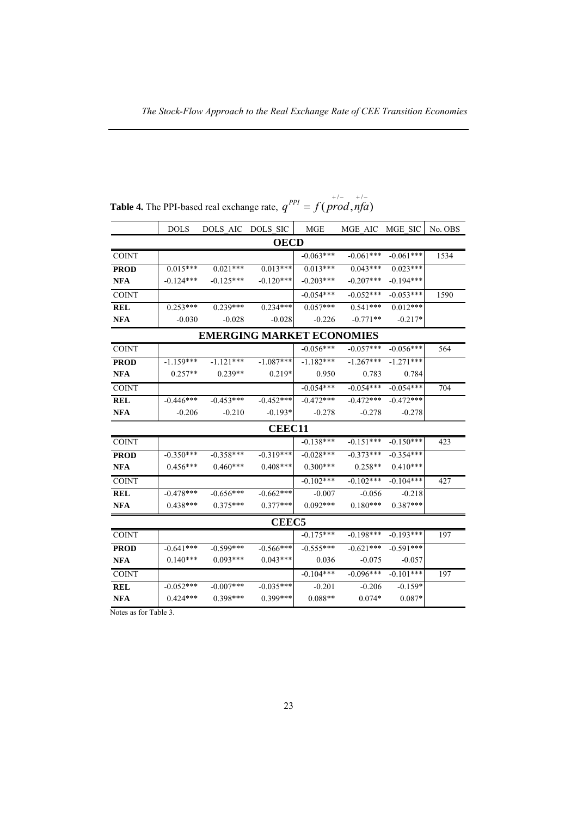|              | <b>DOLS</b> | <b>DOLS AIC</b>                  | <b>DOLS SIC</b> | <b>MGE</b>  | MGE AIC     | MGE SIC     | No. OBS |
|--------------|-------------|----------------------------------|-----------------|-------------|-------------|-------------|---------|
|              |             |                                  | <b>OECD</b>     |             |             |             |         |
| <b>COINT</b> |             |                                  |                 | $-0.063***$ | $-0.061***$ | $-0.061***$ | 1534    |
| <b>PROD</b>  | $0.015***$  | $0.021***$                       | $0.013***$      | $0.013***$  | $0.043***$  | $0.023***$  |         |
| <b>NFA</b>   | $-0.124***$ | $-0.125***$                      | $-0.120***$     | $-0.203***$ | $-0.207***$ | $-0.194***$ |         |
| <b>COINT</b> |             |                                  |                 | $-0.054***$ | $-0.052***$ | $-0.053***$ | 1590    |
| <b>REL</b>   | $0.253***$  | $0.239***$                       | $0.234***$      | $0.057***$  | $0.541***$  | $0.012***$  |         |
| <b>NFA</b>   | $-0.030$    | $-0.028$                         | $-0.028$        | $-0.226$    | $-0.771**$  | $-0.217*$   |         |
|              |             | <b>EMERGING MARKET ECONOMIES</b> |                 |             |             |             |         |
| <b>COINT</b> |             |                                  |                 | $-0.056***$ | $-0.057***$ | $-0.056***$ | 564     |
| <b>PROD</b>  | $-1.159***$ | $-1$ 121***                      | $-1.087***$     | $-1.182***$ | $-1.267***$ | $-1.271***$ |         |
| <b>NFA</b>   | $0.257**$   | $0.239**$                        | $0.219*$        | 0.950       | 0.783       | 0.784       |         |
| <b>COINT</b> |             |                                  |                 | $-0.054***$ | $-0.054***$ | $-0.054***$ | 704     |
| <b>REL</b>   | $-0.446***$ | $-0.453***$                      | $-0.452***$     | $-0.472***$ | $-0.472***$ | $-0.472***$ |         |
| <b>NFA</b>   | $-0.206$    | $-0.210$                         | $-0.193*$       | $-0.278$    | $-0.278$    | $-0.278$    |         |
|              |             |                                  | <b>CEEC11</b>   |             |             |             |         |
| <b>COINT</b> |             |                                  |                 | $-0.138***$ | $-0.151***$ | $-0.150***$ | 423     |
| <b>PROD</b>  | $-0.350***$ | $-0.358***$                      | $-0.319***$     | $-0.028***$ | $-0.373***$ | $-0.354***$ |         |
| <b>NFA</b>   | $0.456***$  | $0.460***$                       | $0.408***$      | $0.300***$  | $0.258**$   | $0.410***$  |         |
| <b>COINT</b> |             |                                  |                 | $-0.102***$ | $-0.102***$ | $-0.104***$ | 427     |
| <b>REL</b>   | $-0.478***$ | $-0.656***$                      | $-0.662***$     | $-0.007$    | $-0.056$    | $-0.218$    |         |
| <b>NFA</b>   | $0.438***$  | $0.375***$                       | $0.377***$      | $0.092***$  | $0.180***$  | $0.387***$  |         |
|              |             |                                  | <b>CEEC5</b>    |             |             |             |         |
| <b>COINT</b> |             |                                  |                 | $-0.175***$ | $-0.198***$ | $-0.193***$ | 197     |
| <b>PROD</b>  | $-0.641***$ | $-0.599***$                      | $-0.566***$     | $-0.555***$ | $-0.621***$ | $-0.591***$ |         |
| <b>NFA</b>   | $0.140***$  | $0.093***$                       | $0.043***$      | 0.036       | $-0.075$    | $-0.057$    |         |
| <b>COINT</b> |             |                                  |                 | $-0.104***$ | $-0.096***$ | $-0.101***$ | 197     |
| <b>REL</b>   | $-0.052***$ | $-0.007$ ***                     | $-0.035***$     | $-0.201$    | $-0.206$    | $-0.159*$   |         |
| <b>NFA</b>   | $0.424***$  | $0.398***$                       | $0.399***$      | $0.088**$   | $0.074*$    | $0.087*$    |         |
|              |             |                                  |                 |             |             |             |         |

**Table 4.** The PPI-based real exchange rate,  $q^{PPI} = f(prod, nfa)$ 

Notes as for Table 3.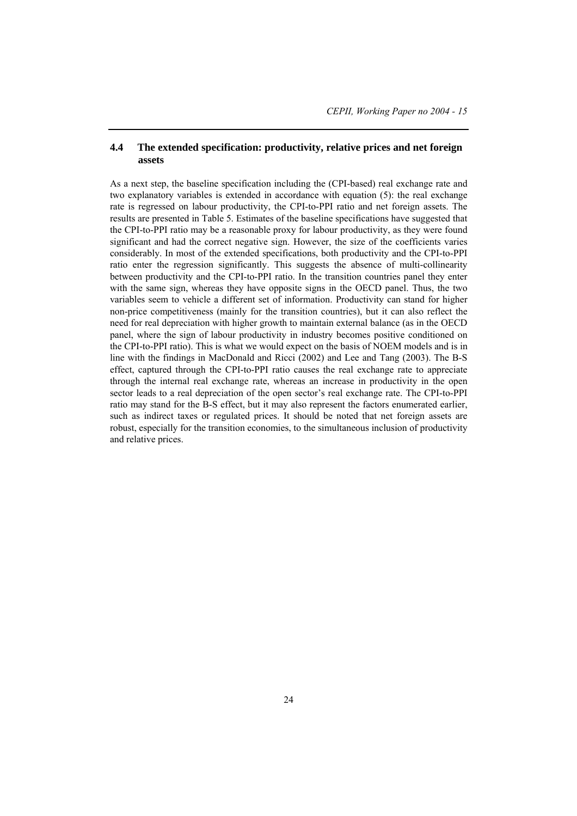## **4.4 The extended specification: productivity, relative prices and net foreign assets**

As a next step, the baseline specification including the (CPI-based) real exchange rate and two explanatory variables is extended in accordance with equation (5): the real exchange rate is regressed on labour productivity, the CPI-to-PPI ratio and net foreign assets. The results are presented in Table 5. Estimates of the baseline specifications have suggested that the CPI-to-PPI ratio may be a reasonable proxy for labour productivity, as they were found significant and had the correct negative sign. However, the size of the coefficients varies considerably. In most of the extended specifications, both productivity and the CPI-to-PPI ratio enter the regression significantly. This suggests the absence of multi-collinearity between productivity and the CPI-to-PPI ratio. In the transition countries panel they enter with the same sign, whereas they have opposite signs in the OECD panel. Thus, the two variables seem to vehicle a different set of information. Productivity can stand for higher non-price competitiveness (mainly for the transition countries), but it can also reflect the need for real depreciation with higher growth to maintain external balance (as in the OECD panel, where the sign of labour productivity in industry becomes positive conditioned on the CPI-to-PPI ratio). This is what we would expect on the basis of NOEM models and is in line with the findings in MacDonald and Ricci (2002) and Lee and Tang (2003). The B-S effect, captured through the CPI-to-PPI ratio causes the real exchange rate to appreciate through the internal real exchange rate, whereas an increase in productivity in the open sector leads to a real depreciation of the open sector's real exchange rate. The CPI-to-PPI ratio may stand for the B-S effect, but it may also represent the factors enumerated earlier, such as indirect taxes or regulated prices. It should be noted that net foreign assets are robust, especially for the transition economies, to the simultaneous inclusion of productivity and relative prices.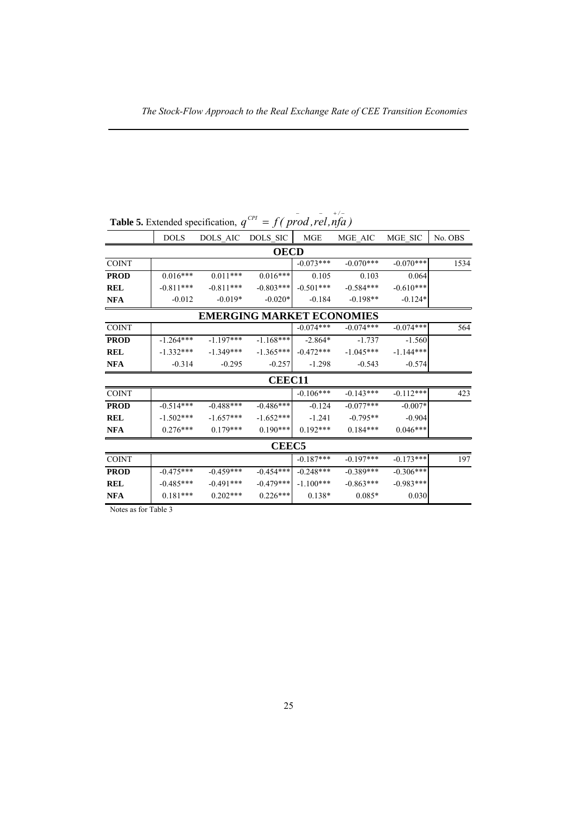|              | <b>DOLS</b> | DOLS AIC    | DOLS SIC                         | <b>MGE</b>  | MGE AIC     | MGE SIC     | No. OBS |
|--------------|-------------|-------------|----------------------------------|-------------|-------------|-------------|---------|
|              |             |             | <b>OECD</b>                      |             |             |             |         |
| <b>COINT</b> |             |             |                                  | $-0.073***$ | $-0.070***$ | $-0.070***$ | 1534    |
| <b>PROD</b>  | $0.016***$  | $0.011***$  | $0.016***$                       | 0.105       | 0.103       | 0.064       |         |
| <b>REL</b>   | $-0.811***$ | $-0.811***$ | $-0.803***$                      | $-0.501***$ | $-0.584***$ | $-0.610***$ |         |
| <b>NFA</b>   | $-0.012$    | $-0.019*$   | $-0.020*$                        | $-0.184$    | $-0.198**$  | $-0.124*$   |         |
|              |             |             | <b>EMERGING MARKET ECONOMIES</b> |             |             |             |         |
| <b>COINT</b> |             |             |                                  | $-0.074***$ | $-0.074***$ | $-0.074***$ | 564     |
| <b>PROD</b>  | $-1.264***$ | $-1.197***$ | $-1.168***$                      | $-2.864*$   | $-1.737$    | $-1.560$    |         |
| <b>REL</b>   | $-1.332***$ | $-1.349***$ | $-1.365***$                      | $-0.472***$ | $-1.045***$ | $-1.144***$ |         |
| <b>NFA</b>   | $-0.314$    | $-0.295$    | $-0.257$                         | $-1.298$    | $-0.543$    | $-0.574$    |         |
|              |             |             | <b>CEEC11</b>                    |             |             |             |         |
| <b>COINT</b> |             |             |                                  | $-0.106***$ | $-0.143***$ | $-0.112***$ | 423     |
| <b>PROD</b>  | $-0.514***$ | $-0.488***$ | $-0.486***$                      | $-0.124$    | $-0.077***$ | $-0.007*$   |         |
| <b>REL</b>   | $-1.502***$ | $-1.657***$ | $-1.652***$                      | $-1.241$    | $-0.795**$  | $-0.904$    |         |
| <b>NFA</b>   | $0.276***$  | $0.179***$  | $0.190***$                       | $0.192***$  | $0.184***$  | $0.046***$  |         |
|              |             |             | <b>CEEC5</b>                     |             |             |             |         |
| <b>COINT</b> |             |             |                                  | $-0.187***$ | $-0.197***$ | $-0.173***$ | 197     |
| <b>PROD</b>  | $-0.475***$ | $-0.459***$ | $-0.454***$                      | $-0.248***$ | $-0.389***$ | $-0.306***$ |         |
| <b>REL</b>   | $-0.485***$ | $-0.491***$ | $-0.479***$                      | $-1.100***$ | $-0.863***$ | $-0.983***$ |         |
| <b>NFA</b>   | $0.181***$  | $0.202***$  | $0.226***$                       | $0.138*$    | $0.085*$    | 0.030       |         |

**Table 5.** Extended specification,  $q^{CPI} = f(prod, rel, nfa)$ 

Notes as for Table 3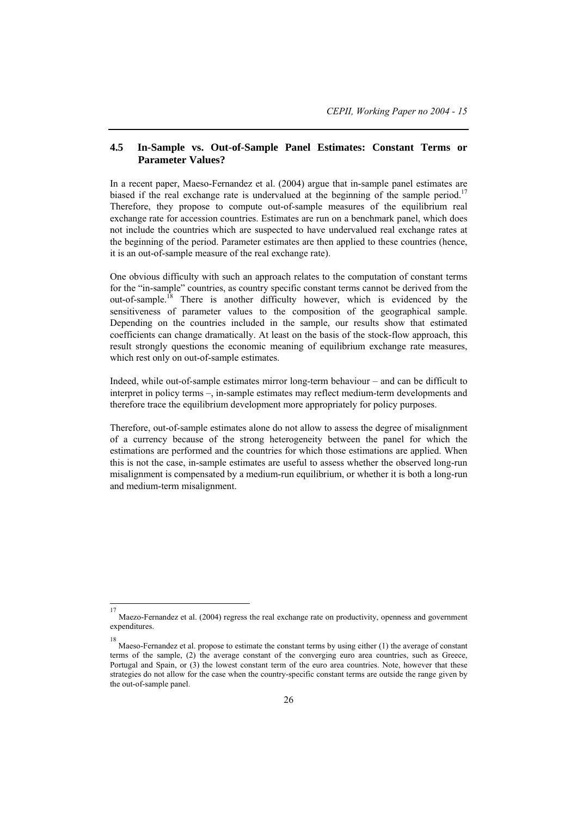## **4.5 In-Sample vs. Out-of-Sample Panel Estimates: Constant Terms or Parameter Values?**

In a recent paper, Maeso-Fernandez et al. (2004) argue that in-sample panel estimates are biased if the real exchange rate is undervalued at the beginning of the sample period.<sup>17</sup> Therefore, they propose to compute out-of-sample measures of the equilibrium real exchange rate for accession countries. Estimates are run on a benchmark panel, which does not include the countries which are suspected to have undervalued real exchange rates at the beginning of the period. Parameter estimates are then applied to these countries (hence, it is an out-of-sample measure of the real exchange rate).

One obvious difficulty with such an approach relates to the computation of constant terms for the "in-sample" countries, as country specific constant terms cannot be derived from the out-of-sample.<sup>18</sup> There is another difficulty however, which is evidenced by the sensitiveness of parameter values to the composition of the geographical sample. Depending on the countries included in the sample, our results show that estimated coefficients can change dramatically. At least on the basis of the stock-flow approach, this result strongly questions the economic meaning of equilibrium exchange rate measures, which rest only on out-of-sample estimates.

Indeed, while out-of-sample estimates mirror long-term behaviour – and can be difficult to interpret in policy terms –, in-sample estimates may reflect medium-term developments and therefore trace the equilibrium development more appropriately for policy purposes.

Therefore, out-of-sample estimates alone do not allow to assess the degree of misalignment of a currency because of the strong heterogeneity between the panel for which the estimations are performed and the countries for which those estimations are applied. When this is not the case, in-sample estimates are useful to assess whether the observed long-run misalignment is compensated by a medium-run equilibrium, or whether it is both a long-run and medium-term misalignment.

 17 Maezo-Fernandez et al. (2004) regress the real exchange rate on productivity, openness and government expenditures.

<sup>18</sup>

Maeso-Fernandez et al. propose to estimate the constant terms by using either (1) the average of constant terms of the sample, (2) the average constant of the converging euro area countries, such as Greece, Portugal and Spain, or (3) the lowest constant term of the euro area countries. Note, however that these strategies do not allow for the case when the country-specific constant terms are outside the range given by the out-of-sample panel.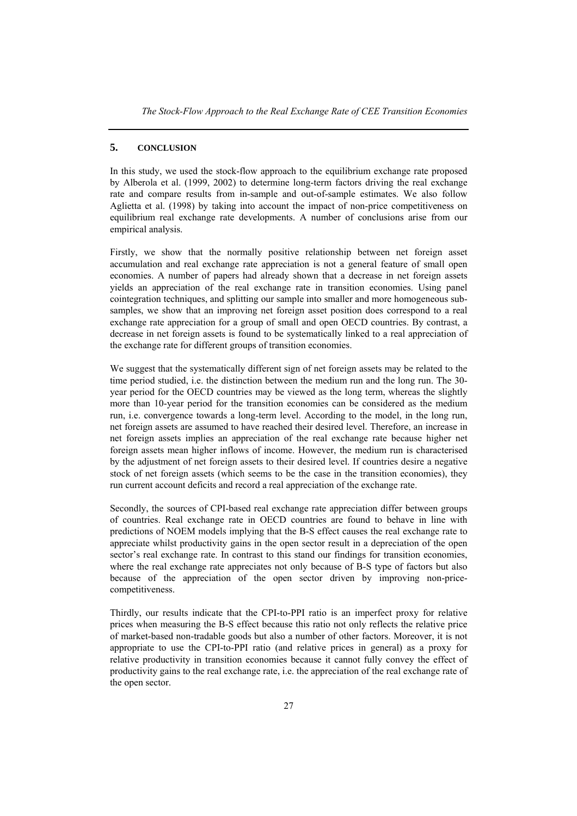## **5. CONCLUSION**

In this study, we used the stock-flow approach to the equilibrium exchange rate proposed by Alberola et al. (1999, 2002) to determine long-term factors driving the real exchange rate and compare results from in-sample and out-of-sample estimates. We also follow Aglietta et al. (1998) by taking into account the impact of non-price competitiveness on equilibrium real exchange rate developments. A number of conclusions arise from our empirical analysis.

Firstly, we show that the normally positive relationship between net foreign asset accumulation and real exchange rate appreciation is not a general feature of small open economies. A number of papers had already shown that a decrease in net foreign assets yields an appreciation of the real exchange rate in transition economies. Using panel cointegration techniques, and splitting our sample into smaller and more homogeneous subsamples, we show that an improving net foreign asset position does correspond to a real exchange rate appreciation for a group of small and open OECD countries. By contrast, a decrease in net foreign assets is found to be systematically linked to a real appreciation of the exchange rate for different groups of transition economies.

We suggest that the systematically different sign of net foreign assets may be related to the time period studied, i.e. the distinction between the medium run and the long run. The 30 year period for the OECD countries may be viewed as the long term, whereas the slightly more than 10-year period for the transition economies can be considered as the medium run, i.e. convergence towards a long-term level. According to the model, in the long run, net foreign assets are assumed to have reached their desired level. Therefore, an increase in net foreign assets implies an appreciation of the real exchange rate because higher net foreign assets mean higher inflows of income. However, the medium run is characterised by the adjustment of net foreign assets to their desired level. If countries desire a negative stock of net foreign assets (which seems to be the case in the transition economies), they run current account deficits and record a real appreciation of the exchange rate.

Secondly, the sources of CPI-based real exchange rate appreciation differ between groups of countries. Real exchange rate in OECD countries are found to behave in line with predictions of NOEM models implying that the B-S effect causes the real exchange rate to appreciate whilst productivity gains in the open sector result in a depreciation of the open sector's real exchange rate. In contrast to this stand our findings for transition economies, where the real exchange rate appreciates not only because of B-S type of factors but also because of the appreciation of the open sector driven by improving non-pricecompetitiveness.

Thirdly, our results indicate that the CPI-to-PPI ratio is an imperfect proxy for relative prices when measuring the B-S effect because this ratio not only reflects the relative price of market-based non-tradable goods but also a number of other factors. Moreover, it is not appropriate to use the CPI-to-PPI ratio (and relative prices in general) as a proxy for relative productivity in transition economies because it cannot fully convey the effect of productivity gains to the real exchange rate, i.e. the appreciation of the real exchange rate of the open sector.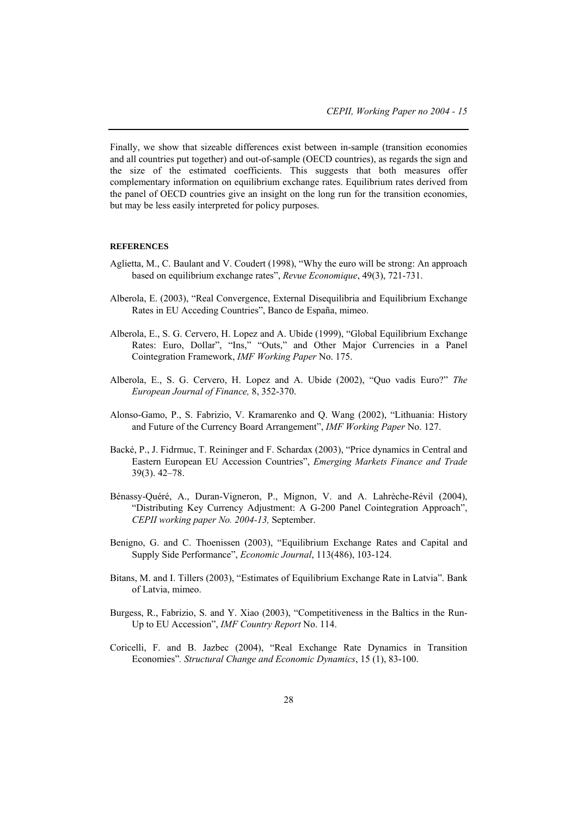Finally, we show that sizeable differences exist between in-sample (transition economies and all countries put together) and out-of-sample (OECD countries), as regards the sign and the size of the estimated coefficients. This suggests that both measures offer complementary information on equilibrium exchange rates. Equilibrium rates derived from the panel of OECD countries give an insight on the long run for the transition economies, but may be less easily interpreted for policy purposes.

#### **REFERENCES**

- Aglietta, M., C. Baulant and V. Coudert (1998), "Why the euro will be strong: An approach based on equilibrium exchange rates", *Revue Economique*, 49(3), 721-731.
- Alberola, E. (2003), "Real Convergence, External Disequilibria and Equilibrium Exchange Rates in EU Acceding Countries", Banco de España, mimeo.
- Alberola, E., S. G. Cervero, H. Lopez and A. Ubide (1999), "Global Equilibrium Exchange Rates: Euro, Dollar", "Ins," "Outs," and Other Major Currencies in a Panel Cointegration Framework, *IMF Working Paper* No. 175.
- Alberola, E., S. G. Cervero, H. Lopez and A. Ubide (2002), "Quo vadis Euro?" *The European Journal of Finance,* 8, 352-370.
- Alonso-Gamo, P., S. Fabrizio, V. Kramarenko and Q. Wang (2002), "Lithuania: History and Future of the Currency Board Arrangement", *IMF Working Paper* No. 127.
- Backé, P., J. Fidrmuc, T. Reininger and F. Schardax (2003), "Price dynamics in Central and Eastern European EU Accession Countries", *Emerging Markets Finance and Trade* 39(3). 42–78.
- Bénassy-Quéré, A., Duran-Vigneron, P., Mignon, V. and A. Lahrèche-Révil (2004), "Distributing Key Currency Adjustment: A G-200 Panel Cointegration Approach", *CEPII working paper No. 2004-13,* September.
- Benigno, G. and C. Thoenissen (2003), "Equilibrium Exchange Rates and Capital and Supply Side Performance", *Economic Journal*, 113(486), 103-124.
- Bitans, M. and I. Tillers (2003), "Estimates of Equilibrium Exchange Rate in Latvia". Bank of Latvia, mimeo.
- Burgess, R., Fabrizio, S. and Y. Xiao (2003), "Competitiveness in the Baltics in the Run-Up to EU Accession", *IMF Country Report* No. 114.
- Coricelli, F. and B. Jazbec (2004), "Real Exchange Rate Dynamics in Transition Economies"*. Structural Change and Economic Dynamics*, 15 (1), 83-100.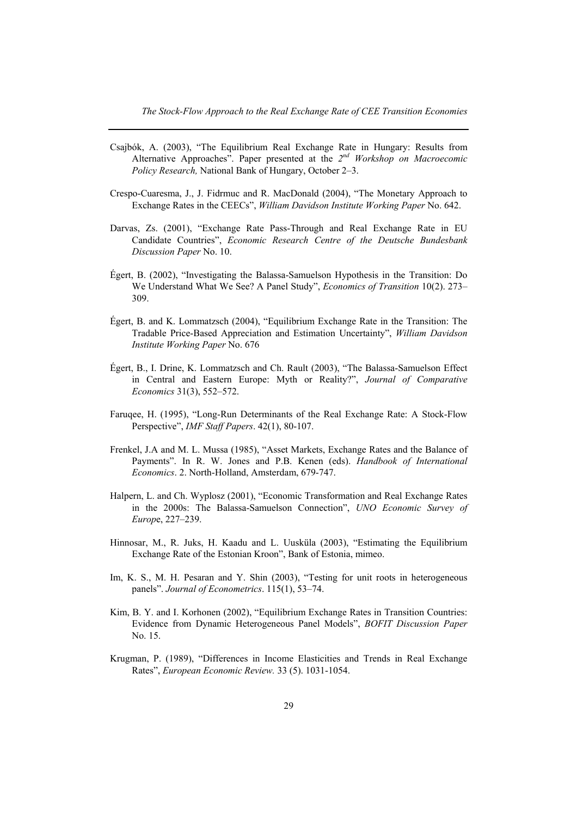- Csajbók, A. (2003), "The Equilibrium Real Exchange Rate in Hungary: Results from Alternative Approaches". Paper presented at the *2nd Workshop on Macroecomic Policy Research,* National Bank of Hungary, October 2–3.
- Crespo-Cuaresma, J., J. Fidrmuc and R. MacDonald (2004), "The Monetary Approach to Exchange Rates in the CEECs", *William Davidson Institute Working Paper* No. 642.
- Darvas, Zs. (2001), "Exchange Rate Pass-Through and Real Exchange Rate in EU Candidate Countries", *Economic Research Centre of the Deutsche Bundesbank Discussion Paper* No. 10.
- Égert, B. (2002), "Investigating the Balassa-Samuelson Hypothesis in the Transition: Do We Understand What We See? A Panel Study", *Economics of Transition* 10(2). 273– 309.
- Égert, B. and K. Lommatzsch (2004), "Equilibrium Exchange Rate in the Transition: The Tradable Price-Based Appreciation and Estimation Uncertainty", *William Davidson Institute Working Paper* No. 676
- Égert, B., I. Drine, K. Lommatzsch and Ch. Rault (2003), "The Balassa-Samuelson Effect in Central and Eastern Europe: Myth or Reality?", *Journal of Comparative Economics* 31(3), 552–572.
- Faruqee, H. (1995), "Long-Run Determinants of the Real Exchange Rate: A Stock-Flow Perspective", *IMF Staff Papers*. 42(1), 80-107.
- Frenkel, J.A and M. L. Mussa (1985), "Asset Markets, Exchange Rates and the Balance of Payments". In R. W. Jones and P.B. Kenen (eds). *Handbook of International Economics*. 2. North-Holland, Amsterdam, 679-747.
- Halpern, L. and Ch. Wyplosz (2001), "Economic Transformation and Real Exchange Rates in the 2000s: The Balassa-Samuelson Connection", *UNO Economic Survey of Europ*e, 227–239.
- Hinnosar, M., R. Juks, H. Kaadu and L. Uusküla (2003), "Estimating the Equilibrium Exchange Rate of the Estonian Kroon", Bank of Estonia, mimeo.
- Im, K. S., M. H. Pesaran and Y. Shin (2003), "Testing for unit roots in heterogeneous panels". *Journal of Econometrics*. 115(1), 53–74.
- Kim, B. Y. and I. Korhonen (2002), "Equilibrium Exchange Rates in Transition Countries: Evidence from Dynamic Heterogeneous Panel Models", *BOFIT Discussion Paper* No. 15.
- Krugman, P. (1989), "Differences in Income Elasticities and Trends in Real Exchange Rates", *European Economic Review.* 33 (5). 1031-1054.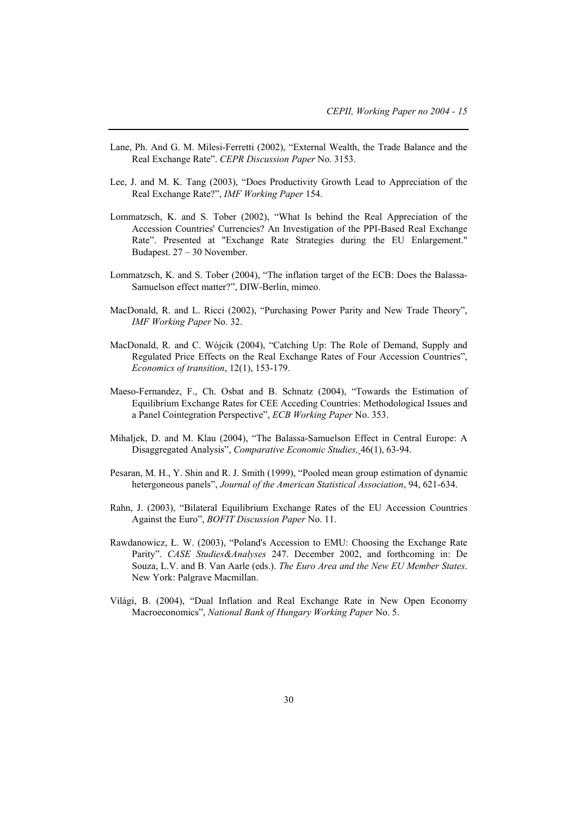- Lane, Ph. And G. M. Milesi-Ferretti (2002), "External Wealth, the Trade Balance and the Real Exchange Rate". *CEPR Discussion Paper* No. 3153.
- Lee, J. and M. K. Tang (2003), "Does Productivity Growth Lead to Appreciation of the Real Exchange Rate?", *IMF Working Paper* 154.
- Lommatzsch, K. and S. Tober (2002), "What Is behind the Real Appreciation of the Accession Countries' Currencies? An Investigation of the PPI-Based Real Exchange Rate". Presented at "Exchange Rate Strategies during the EU Enlargement." Budapest. 27 – 30 November.
- Lommatzsch, K. and S. Tober (2004), "The inflation target of the ECB: Does the Balassa-Samuelson effect matter?", DIW-Berlin, mimeo.
- MacDonald, R. and L. Ricci (2002), "Purchasing Power Parity and New Trade Theory", *IMF Working Paper* No. 32.
- MacDonald, R. and C. Wójcik (2004), "Catching Up: The Role of Demand, Supply and Regulated Price Effects on the Real Exchange Rates of Four Accession Countries", *Economics of transition*, 12(1), 153-179.
- Maeso-Fernandez, F., Ch. Osbat and B. Schnatz (2004), "Towards the Estimation of Equilibrium Exchange Rates for CEE Acceding Countries: Methodological Issues and a Panel Cointegration Perspective", *ECB Working Paper* No. 353.
- Mihaljek, D. and M. Klau (2004), "The Balassa-Samuelson Effect in Central Europe: A Disaggregated Analysis", *Comparative Economic Studies,* 46(1), 63-94.
- Pesaran, M. H., Y. Shin and R. J. Smith (1999), "Pooled mean group estimation of dynamic hetergoneous panels", *Journal of the American Statistical Association*, 94, 621-634.
- Rahn, J. (2003), "Bilateral Equilibrium Exchange Rates of the EU Accession Countries Against the Euro", *BOFIT Discussion Paper* No. 11.
- Rawdanowicz, Ł. W. (2003), "Poland's Accession to EMU: Choosing the Exchange Rate Parity". *CASE Studies&Analyses* 247. December 2002, and forthcoming in: De Souza, L.V. and B. Van Aarle (eds.). *The Euro Area and the New EU Member States*. New York: Palgrave Macmillan.
- Világi, B. (2004), "Dual Inflation and Real Exchange Rate in New Open Economy Macroeconomics", *National Bank of Hungary Working Paper* No. 5.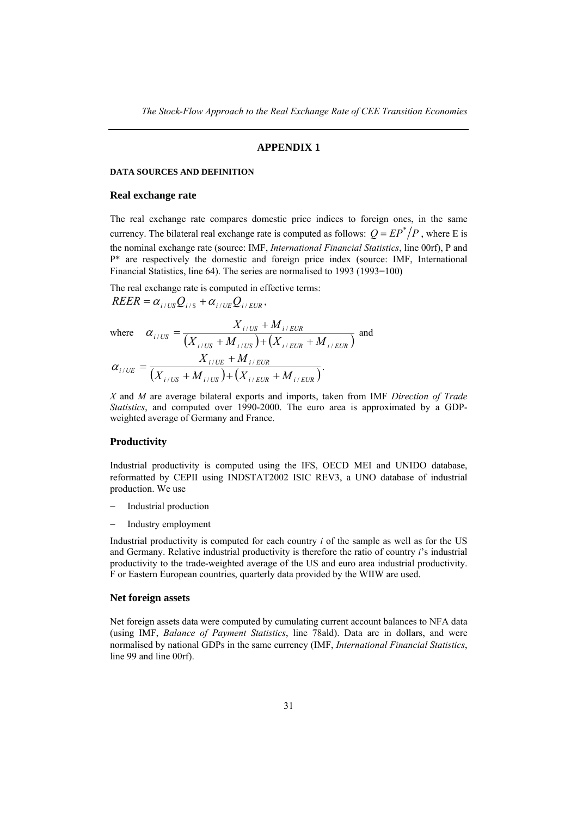### **APPENDIX 1**

#### **DATA SOURCES AND DEFINITION**

#### **Real exchange rate**

The real exchange rate compares domestic price indices to foreign ones, in the same currency. The bilateral real exchange rate is computed as follows:  $Q = EP^*/P$ , where E is the nominal exchange rate (source: IMF, *International Financial Statistics*, line 00rf), P and P\* are respectively the domestic and foreign price index (source: IMF, International Financial Statistics, line 64). The series are normalised to 1993 (1993=100)

The real exchange rate is computed in effective terms:  $REER = \alpha_{i/US}Q_{i/8} + \alpha_{i/UE}Q_{i/EUR}$ 

where 
$$
\alpha_{i/US} = \frac{X_{i/US} + M_{i/EUR}}{(X_{i/US} + M_{i/US}) + (X_{i/EUR} + M_{i/EUR})}
$$
 and 
$$
\alpha_{i/UE} = \frac{X_{i/UE} + M_{i/EUR}}{(X_{i/US} + M_{i/US}) + (X_{i/EUR} + M_{i/EUR})}.
$$

*X* and *M* are average bilateral exports and imports, taken from IMF *Direction of Trade Statistics*, and computed over 1990-2000. The euro area is approximated by a GDPweighted average of Germany and France.

## **Productivity**

Industrial productivity is computed using the IFS, OECD MEI and UNIDO database, reformatted by CEPII using INDSTAT2002 ISIC REV3, a UNO database of industrial production. We use

- Industrial production
- − Industry employment

Industrial productivity is computed for each country *i* of the sample as well as for the US and Germany. Relative industrial productivity is therefore the ratio of country *i*'s industrial productivity to the trade-weighted average of the US and euro area industrial productivity. F or Eastern European countries, quarterly data provided by the WIIW are used.

#### **Net foreign assets**

Net foreign assets data were computed by cumulating current account balances to NFA data (using IMF, *Balance of Payment Statistics*, line 78ald). Data are in dollars, and were normalised by national GDPs in the same currency (IMF, *International Financial Statistics*, line 99 and line 00rf).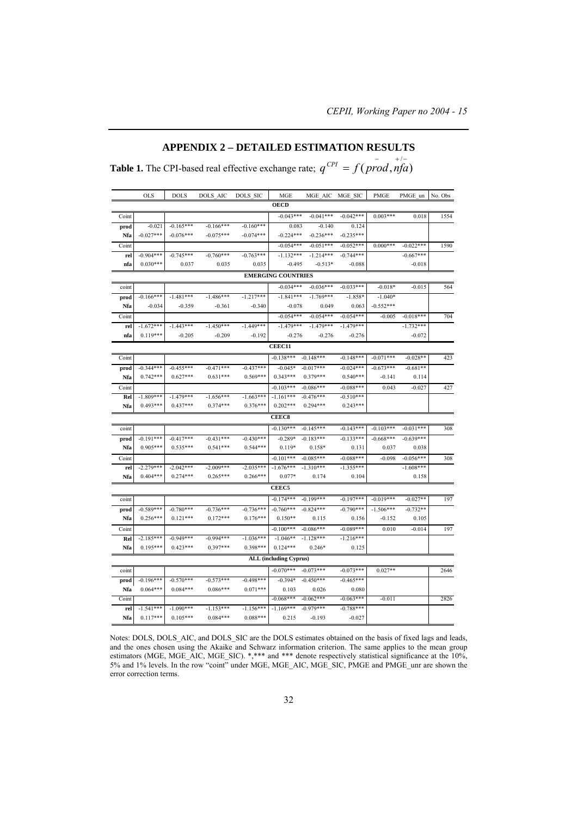## **APPENDIX 2 – DETAILED ESTIMATION RESULTS**

**Table 1.** The CPI-based real effective exchange rate;  $q^{CPI} = f(prod, nfa)$ 

|       | <b>OLS</b>  | DOLS        | DOLS AIC    | DOLS SIC    | MGE                           | MGE AIC     | MGE SIC     | PMGE        | PMGE un     | No. Obs |
|-------|-------------|-------------|-------------|-------------|-------------------------------|-------------|-------------|-------------|-------------|---------|
|       |             |             |             |             | <b>OECD</b>                   |             |             |             |             |         |
| Coint |             |             |             |             | $-0.043***$                   | $-0.041***$ | $-0.042***$ | $0.003***$  | 0.018       | 1554    |
| prod  | $-0.021$    | $-0.165***$ | $-0.166***$ | $-0.160***$ | 0.083                         | $-0.140$    | 0.124       |             |             |         |
| Nfa   | $-0.027***$ | $-0.076***$ | $-0.075***$ | $-0.074***$ | $-0.224***$                   | $-0.236***$ | $-0.235***$ |             |             |         |
| Coint |             |             |             |             | $-0.054***$                   | $-0.051***$ | $-0.052***$ | $0.000***$  | $-0.022***$ | 1590    |
| rel   | $-0.904***$ | $-0.745***$ | $-0.760***$ | $-0.763***$ | $-1.132***$                   | $-1.214***$ | $-0.744***$ |             | $-0.667***$ |         |
| nfa   | $0.030***$  | 0.037       | 0.035       | 0.035       | $-0.495$                      | $-0.513*$   | $-0.088$    |             | $-0.018$    |         |
|       |             |             |             |             | <b>EMERGING COUNTRIES</b>     |             |             |             |             |         |
| coint |             |             |             |             | $-0.034***$                   | $-0.036***$ | $-0.033***$ | $-0.018*$   | $-0.015$    | 564     |
| prod  | $-0.166***$ | $-1.481***$ | $-1.486***$ | $-1.217***$ | $-1.841***$                   | $-1.769***$ | $-1.858*$   | $-1.040*$   |             |         |
| Nfa   | $-0.034$    | $-0.359$    | $-0.361$    | $-0.340$    | $-0.078$                      | 0.049       | 0.063       | $-0.552***$ |             |         |
| Coint |             |             |             |             | $-0.054***$                   | $-0.054***$ | $-0.054***$ | $-0.005$    | $-0.018***$ | 704     |
| rel   | $-1.672***$ | $-1.443***$ | $-1.450***$ | $-1.449***$ | $-1.479***$                   | $-1.479***$ | $-1.479***$ |             | $-1.732***$ |         |
| nfa   | $0.119***$  | $-0.205$    | $-0.209$    | $-0.192$    | $-0.276$                      | $-0.276$    | $-0.276$    |             | $-0.072$    |         |
|       |             |             |             |             | <b>CEEC11</b>                 |             |             |             |             |         |
| Coint |             |             |             |             | $-0.138***$                   | $-0.148***$ | $-0.148***$ | $-0.071***$ | $-0.028**$  | 423     |
| prod  | $-0.344***$ | $-0.455***$ | $-0.471***$ | $-0.437***$ | $-0.045*$                     | $-0.017***$ | $-0.024***$ | $-0.673***$ | $-0.681**$  |         |
| Nfa   | $0.742***$  | $0.627***$  | $0.631***$  | $0.569***$  | $0.343***$                    | $0.379***$  | $0.540***$  | $-0.141$    | 0.114       |         |
| Coint |             |             |             |             | $-0.103***$                   | $-0.086***$ | $-0.088***$ | 0.043       | $-0.027$    | 427     |
| Rel   | $-1.809***$ | $-1.479***$ | $-1.656***$ | $-1.663***$ | $-1.161***$                   | $-0.476***$ | $-0.510***$ |             |             |         |
| Nfa   | $0.493***$  | $0.437***$  | $0.374***$  | $0.376***$  | $0.202***$                    | $0.294***$  | $0.243***$  |             |             |         |
|       |             |             |             |             | <b>CEEC8</b>                  |             |             |             |             |         |
| coint |             |             |             |             | $-0.130***$                   | $-0.145***$ | $-0.143***$ | $-0.103***$ | $-0.031***$ | 308     |
| prod  | $-0.191***$ | $-0.417***$ | $-0.431***$ | $-0.430***$ | $-0.289*$                     | $-0.183***$ | $-0.133***$ | $-0.668***$ | $-0.639***$ |         |
| Nfa   | $0.905***$  | $0.535***$  | $0.541***$  | $0.544***$  | $0.119*$                      | $0.158*$    | 0.131       | 0.037       | 0.038       |         |
| Coint |             |             |             |             | $-0.101***$                   | $-0.085***$ | $-0.088***$ | $-0.098$    | $-0.056***$ | 308     |
| rel   | $-2.279***$ | $-2.042***$ | $-2.009***$ | $-2.035***$ | $-1.676***$                   | $-1.310***$ | $-1.355***$ |             | $-1.608***$ |         |
| Nfa   | $0.404***$  | $0.274***$  | $0.265***$  | $0.266***$  | $0.077*$                      | 0.174       | 0.104       |             | 0.158       |         |
|       |             |             |             |             | CEEC5                         |             |             |             |             |         |
| coint |             |             |             |             | $-0.174***$                   | $-0.199***$ | $-0.197***$ | $-0.019***$ | $-0.027**$  | 197     |
| prod  | $-0.589***$ | $-0.780***$ | $-0.736***$ | $-0.736***$ | $-0.760***$                   | $-0.824***$ | $-0.790***$ | $-1.506***$ | $-0.732**$  |         |
| Nfa   | $0.256***$  | $0.121***$  | $0.172***$  | $0.176***$  | $0.150**$                     | 0.115       | 0.156       | $-0.152$    | 0.105       |         |
| Coint |             |             |             |             | $-0.100***$                   | $-0.086***$ | $-0.089***$ | 0.010       | $-0.014$    | 197     |
| Rel   | $-2.185***$ | $-0.949***$ | $-0.994***$ | $-1.036***$ | $-1.046**$                    | $-1.128***$ | $-1.216***$ |             |             |         |
| Nfa   | $0.195***$  | $0.423***$  | $0.397***$  | $0.398***$  | $0.124***$                    | $0.246*$    | 0.125       |             |             |         |
|       |             |             |             |             | <b>ALL (including Cyprus)</b> |             |             |             |             |         |
| coint |             |             |             |             | $-0.070***$                   | $-0.073***$ | $-0.073***$ | $0.027**$   |             | 2646    |
| prod  | $-0.196***$ | $-0.570***$ | $-0.573***$ | $-0.498***$ | $-0.394*$                     | $-0.450***$ | $-0.465***$ |             |             |         |
| Nfa   | $0.064***$  | $0.084***$  | $0.086***$  | $0.071***$  | 0.103                         | 0.026       | 0.080       |             |             |         |
| Coint |             |             |             |             | $-0.068***$                   | $-0.062***$ | $-0.063***$ | $-0.011$    |             | 2826    |
| rel   | $-1.541***$ | $-1.090***$ | $-1.153***$ | $-1.156***$ | $-1.169***$                   | $-0.979***$ | $-0.788***$ |             |             |         |
| Nfa   | $0.117***$  | $0.105***$  | $0.084***$  | $0.088***$  | 0.215                         | $-0.193$    | $-0.027$    |             |             |         |
|       |             |             |             |             |                               |             |             |             |             |         |

Notes: DOLS, DOLS\_AIC, and DOLS\_SIC are the DOLS estimates obtained on the basis of fixed lags and leads, and the ones chosen using the Akaike and Schwarz information criterion. The same applies to the mean group estimators (MGE, MGE\_AIC, MGE\_SIC). \*,\*\*\* and \*\*\* denote respectively statistical significance at the 10%, 5% and 1% levels. In the row "coint" under MGE, MGE\_AIC, MGE\_SIC, PMGE and PMGE\_unr are shown the error correction terms.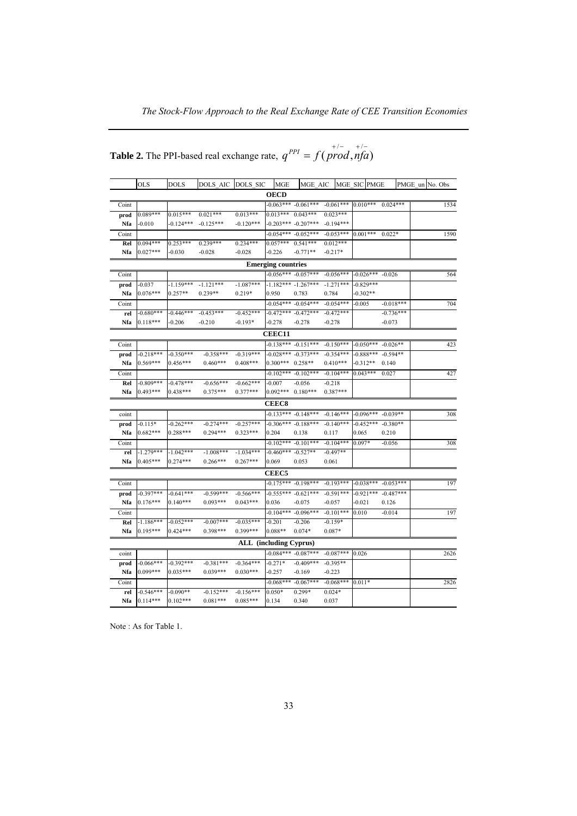*The Stock-Flow Approach to the Real Exchange Rate of CEE Transition Economies*

|                                                                            |  |  | $+/ +/-$ |
|----------------------------------------------------------------------------|--|--|----------|
| <b>Table 2.</b> The PPI-based real exchange rate, $q^{PPI} = f(prod, nfa)$ |  |  |          |

|       | <b>OLS</b>  | <b>DOLS</b> | DOLS AIC    | DOLS SIC    | <b>MGE</b>                | MGE AIC                 |             | MGE SIC PMGE                  |             | PMGE un No. Obs |
|-------|-------------|-------------|-------------|-------------|---------------------------|-------------------------|-------------|-------------------------------|-------------|-----------------|
|       | <b>OECD</b> |             |             |             |                           |                         |             |                               |             |                 |
| Coint |             |             |             |             |                           | $-0.063***$ $-0.061***$ |             | $-0.061***$ 0.010*** 0.024*** |             | 1534            |
| prod  | $0.089***$  | $0.015***$  | $0.021***$  | $0.013***$  |                           | $0.013***$ $0.043***$   | $0.023***$  |                               |             |                 |
| Nfa   | $-0.010$    | $-0.124***$ | $-0.125***$ | $-0.120***$ |                           | $-0.203***$ $-0.207***$ | $-0.194***$ |                               |             |                 |
| Coint |             |             |             |             |                           | $-0.054***$ $-0.052***$ | $-0.053***$ | $0.001***$                    | $0.022*$    | 1590            |
| Rel   | $0.094***$  | $0.253***$  | $0.239***$  | $0.234***$  | $0.057***$                | $0.541***$              | $0.012***$  |                               |             |                 |
| Nfa   | $0.027***$  | $-0.030$    | $-0.028$    | $-0.028$    | $-0.226$                  | $-0.771**$              | $-0.217*$   |                               |             |                 |
|       |             |             |             |             | <b>Emerging countries</b> |                         |             |                               |             |                 |
| Coint |             |             |             |             |                           | $-0.056***$ $-0.057***$ | $-0.056***$ | $-0.026***$ $-0.026$          |             | 564             |
| prod  | $-0.037$    | $-1.159***$ | $-1.121***$ | $-1.087***$ |                           | $-1.182*** -1.267***$   | $-1.271***$ | $-0.829***$                   |             |                 |
| Nfa   | $0.076***$  | $0.257**$   | $0.239**$   | $0.219*$    | 0.950                     | 0.783                   | 0.784       | $-0.302**$                    |             |                 |
| Coint |             |             |             |             |                           | $-0.054***$ $-0.054***$ | $-0.054***$ | $-0.005$                      | $-0.018***$ | 704             |
| rel   | $-0.680***$ | $-0.446***$ | $-0.453***$ | $-0.452***$ |                           | $-0.472***$ $-0.472***$ | $-0.472***$ |                               | $-0.736***$ |                 |
| Nfa   | $0.118***$  | $-0.206$    | $-0.210$    | $-0.193*$   | $-0.278$                  | $-0.278$                | $-0.278$    |                               | $-0.073$    |                 |
|       |             |             |             |             | CEEC11                    |                         |             |                               |             |                 |
| Coint |             |             |             |             |                           | $-0.138***$ $-0.151***$ | $-0.150***$ | $-0.050***$ $-0.026**$        |             | 423             |
| prod  | $-0.218***$ | $-0.350***$ | $-0.358***$ | $-0.319***$ |                           | $-0.028*** -0.373***$   | $-0.354***$ | $-0.888***$                   | $-0.594**$  |                 |
| Nfa   | $0.569***$  | $0.456***$  | $0.460***$  | $0.408***$  | $0.300***$                | $0.258**$               | $0.410***$  | $-0.312**$                    | 0.140       |                 |
| Coint |             |             |             |             |                           | $-0.102***$ $-0.102***$ | $-0.104***$ | $0.043***$                    | 0.027       | 427             |
| Rel   | $-0.809***$ | $-0.478***$ | $-0.656***$ | $-0.662***$ | $-0.007$                  | $-0.056$                | $-0.218$    |                               |             |                 |
| Nfa   | $0.493***$  | 0.438***    | $0.375***$  | $0.377***$  |                           | $0.092***$ $0.180***$   | $0.387***$  |                               |             |                 |
|       |             |             |             |             | <b>CEEC8</b>              |                         |             |                               |             |                 |
| coint |             |             |             |             |                           | $-0.133***$ $-0.148***$ | $-0.146***$ | $-0.096***$ $-0.039**$        |             | 308             |
| prod  | $-0.115*$   | $-0.262***$ | $-0.274***$ | $-0.257***$ |                           | $-0.306***$ $-0.188***$ | $-0.140***$ | $-0.452***$ $-0.380**$        |             |                 |
| Nfa   | $0.682***$  | $0.288***$  | $0.294***$  | $0.323***$  | 0.204                     | 0.138                   | 0.117       | 0.065                         | 0.210       |                 |
| Coint |             |             |             |             |                           | $-0.102*** -0.101***$   | $-0.104***$ | 0.097*                        | $-0.056$    | 308             |
| rel   | $-1.279***$ | $-1.042***$ | $-1.008***$ | $-1.034***$ | $-0.460***$ $-0.527**$    |                         | $-0.497**$  |                               |             |                 |
| Nfa   | $0.405***$  | $0.274***$  | $0.266***$  | $0.267***$  | 0.069                     | 0.053                   | 0.061       |                               |             |                 |
|       |             |             |             |             | <b>CEEC5</b>              |                         |             |                               |             |                 |
| Coint |             |             |             |             |                           | $-0.175***$ $-0.198***$ | $-0.193***$ | $-0.038***$ $-0.053***$       |             | 197             |
| prod  | $-0.397***$ | $0.641***$  | $-0.599***$ | $-0.566***$ |                           | $-0.555***$ $-0.621***$ | $-0.591***$ | $-0.921***$ $-0.487***$       |             |                 |
| Nfa   | $0.176***$  | $0.140***$  | $0.093***$  | $0.043***$  | 0.036                     | $-0.075$                | $-0.057$    | $-0.021$                      | 0.126       |                 |
| Coint |             |             |             |             |                           | $-0.104***$ $-0.096***$ | $-0.101***$ | 0.010                         | $-0.014$    | 197             |
| Rel   | $-1.186***$ | $-0.052***$ | $-0.007***$ | $-0.035***$ | $-0.201$                  | $-0.206$                | $-0.159*$   |                               |             |                 |
| Nfa   | $0.195***$  | $0.424***$  | $0.398***$  | $0.399***$  | $0.088**$                 | $0.074*$                | $0.087*$    |                               |             |                 |
|       |             |             |             |             | ALL (including Cyprus)    |                         |             |                               |             |                 |
| coint |             |             |             |             | $-0.084***$               | $-0.087***$             | $-0.087***$ | 0.026                         |             | 2626            |
| prod  | $-0.066***$ | $-0.392***$ | $-0.381***$ | $-0.364***$ | $-0.271*$                 | $-0.409***$             | $-0.395**$  |                               |             |                 |
| Nfa   | 0.099***    | $0.035***$  | $0.039***$  | $0.030***$  | $-0.257$                  | $-0.169$                | $-0.223$    |                               |             |                 |
| Coint |             |             |             |             |                           | $-0.068*** -0.067***$   | $-0.068***$ | $0.011*$                      |             | 2826            |
| rel   | $-0.546***$ | $-0.090**$  | $-0.152***$ | $-0.156***$ | $0.050*$                  | $0.299*$                | $0.024*$    |                               |             |                 |
| Nfa   | $0.114***$  | $0.102***$  | $0.081***$  | $0.085***$  | 0.134                     | 0.340                   | 0.037       |                               |             |                 |

Note : As for Table 1.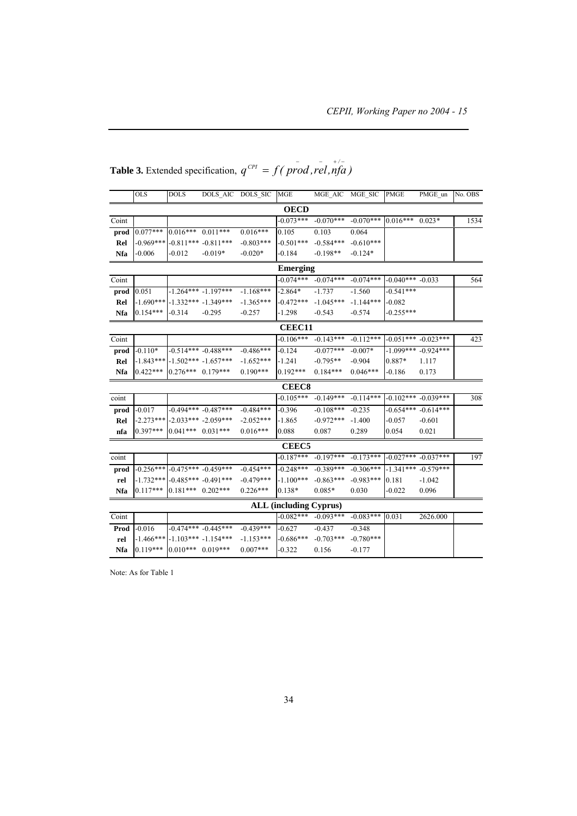|            | <b>OLS</b>    | <b>DOLS</b>             | DOLS AIC DOLS SIC       |             | MGE                           | MGE AIC MGE SIC |             | <b>PMGE</b>          | PMGE un                 | No. OBS |
|------------|---------------|-------------------------|-------------------------|-------------|-------------------------------|-----------------|-------------|----------------------|-------------------------|---------|
|            |               |                         |                         |             | <b>OECD</b>                   |                 |             |                      |                         |         |
| Coint      |               |                         |                         |             | $-0.073***$                   | $-0.070***$     | $-0.070***$ | $0.016***$           | $0.023*$                | 1534    |
| prod       | $0.077***$    | $0.016***$ $0.011***$   |                         | $0.016***$  | 0.105                         | 0.103           | 0.064       |                      |                         |         |
| Rel        | $-0.969***$   |                         | $-0.811***$ $-0.811***$ | $-0.803***$ | $-0.501***$                   | $-0.584***$     | $-0.610***$ |                      |                         |         |
| Nfa        | $-0.006$      | $-0.012$                | $-0.019*$               | $-0.020*$   | $-0.184$                      | $-0.198**$      | $-0.124*$   |                      |                         |         |
|            |               |                         |                         |             | <b>Emerging</b>               |                 |             |                      |                         |         |
| Coint      |               |                         |                         |             | $-0.074***$                   | $-0.074***$     | $-0.074***$ | $-0.040***$ $-0.033$ |                         | 564     |
| prod       | 0.051         |                         | $-1.264*** -1.197***$   | $-1.168***$ | $-2.864*$                     | $-1.737$        | $-1.560$    | $-0.541***$          |                         |         |
| Rel        | $-1.690***$   |                         | $-1.332*** -1.349***$   | $-1.365***$ | $-0.472***$                   | $-1.045***$     | $-1.144***$ | $-0.082$             |                         |         |
| Nfa        | $0.154***$    | $-0.314$                | $-0.295$                | $-0.257$    | $-1.298$                      | $-0.543$        | $-0.574$    | $-0.255***$          |                         |         |
|            | <b>CEEC11</b> |                         |                         |             |                               |                 |             |                      |                         |         |
| Coint      |               |                         |                         |             | $-0.106***$                   | $-0.143***$     | $-0.112***$ |                      | $-0.051***$ $-0.023***$ | 423     |
| prod       | $-0.110*$     |                         | $-0.514*** -0.488***$   | $-0.486***$ | $-0.124$                      | $-0.077***$     | $-0.007*$   |                      | $-1.099***$ $-0.924***$ |         |
| Rel        | $-1.843***$   |                         | $-1.502*** -1.657***$   | $-1.652***$ | $-1.241$                      | $-0.795**$      | $-0.904$    | 0.887*               | 1.117                   |         |
| Nfa        | $0.422***$    | $0.276***$ 0.179***     |                         | $0.190***$  | $0.192***$                    | $0.184***$      | $0.046***$  | $-0.186$             | 0.173                   |         |
|            |               |                         |                         |             | <b>CEEC8</b>                  |                 |             |                      |                         |         |
| coint      |               |                         |                         |             | $-0.105***$                   | $-0.149***$     | $-0.114***$ |                      | $-0.102*** -0.039***$   | 308     |
| prod       | $-0.017$      |                         | $-0.494***$ $-0.487***$ | $-0.484***$ | $-0.396$                      | $-0.108***$     | $-0.235$    |                      | $-0.654***$ $-0.614***$ |         |
| Rel        | $-2.273***$   |                         | $-2.033***$ $-2.059***$ | $-2.052***$ | $-1.865$                      | $-0.972***$     | $-1.400$    | $-0.057$             | $-0.601$                |         |
| nfa        | $0.397***$    | $0.041***$ $0.031***$   |                         | $0.016***$  | 0.088                         | 0.087           | 0.289       | 0.054                | 0.021                   |         |
|            |               |                         |                         |             | CEEC <sub>5</sub>             |                 |             |                      |                         |         |
| coint      |               |                         |                         |             | $-0.187***$                   | $-0.197***$     | $-0.173***$ |                      | $-0.027***$ $-0.037***$ | 197     |
| prod       | $-0.256***$   | $-0.475***$ $-0.459***$ |                         | $-0.454***$ | $-0.248***$                   | $-0.389***$     | $-0.306***$ | $-1.341***$          | $-0.579***$             |         |
| rel        | $-1.732***$   |                         | $-0.485***$ $-0.491***$ | $-0.479***$ | $-1.100***$                   | $-0.863***$     | $-0.983***$ | 0.181                | $-1.042$                |         |
| <b>Nfa</b> | $0.117***$    | $0.181***$ $0.202***$   |                         | $0.226***$  | $0.138*$                      | $0.085*$        | 0.030       | $-0.022$             | 0.096                   |         |
|            |               |                         |                         |             | <b>ALL (including Cyprus)</b> |                 |             |                      |                         |         |
| Coint      |               |                         |                         |             | $-0.082***$                   | $-0.093***$     | $-0.083***$ | 0.031                | 2626.000                |         |
| Prod       | $-0.016$      |                         | $-0.474***$ $-0.445***$ | $-0.439***$ | $-0.627$                      | $-0.437$        | $-0.348$    |                      |                         |         |
| rel        | $-1.466***$   | $-1.103*** -1.154***$   |                         | $-1.153***$ | $-0.686***$                   | $-0.703***$     | $-0.780***$ |                      |                         |         |
| <b>Nfa</b> | $0.119***$    | $0.010***$ 0.019***     |                         | $0.007***$  | $-0.322$                      | 0.156           | $-0.177$    |                      |                         |         |

**Table 3.** Extended specification,  $q^{CPI} = f(\text{prod}, \text{red}, \text{ind})$ 

Note: As for Table 1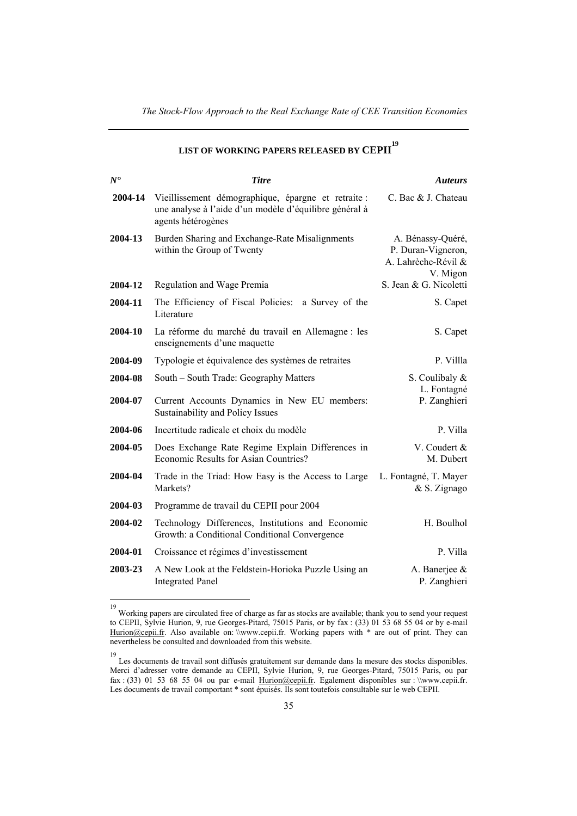| $N^{\bullet}$ | <b>Titre</b>                                                                                                                        | <b>Auteurs</b>                                                             |
|---------------|-------------------------------------------------------------------------------------------------------------------------------------|----------------------------------------------------------------------------|
| 2004-14       | Vieillissement démographique, épargne et retraite :<br>une analyse à l'aide d'un modèle d'équilibre général à<br>agents hétérogènes | C. Bac & J. Chateau                                                        |
| 2004-13       | Burden Sharing and Exchange-Rate Misalignments<br>within the Group of Twenty                                                        | A. Bénassy-Quéré,<br>P. Duran-Vigneron,<br>A. Lahrèche-Révil &<br>V. Migon |
| 2004-12       | Regulation and Wage Premia                                                                                                          | S. Jean & G. Nicoletti                                                     |
| 2004-11       | The Efficiency of Fiscal Policies:<br>a Survey of the<br>Literature                                                                 | S. Capet                                                                   |
| 2004-10       | La réforme du marché du travail en Allemagne : les<br>enseignements d'une maquette                                                  | S. Capet                                                                   |
| 2004-09       | Typologie et équivalence des systèmes de retraites                                                                                  | P. Villla                                                                  |
| 2004-08       | South – South Trade: Geography Matters                                                                                              | S. Coulibaly &<br>L. Fontagné                                              |
| 2004-07       | Current Accounts Dynamics in New EU members:<br>Sustainability and Policy Issues                                                    | P. Zanghieri                                                               |
| 2004-06       | Incertitude radicale et choix du modèle                                                                                             | P. Villa                                                                   |
| 2004-05       | Does Exchange Rate Regime Explain Differences in<br>Economic Results for Asian Countries?                                           | V. Coudert &<br>M. Dubert                                                  |
| 2004-04       | Trade in the Triad: How Easy is the Access to Large<br>Markets?                                                                     | L. Fontagné, T. Mayer<br>& S. Zignago                                      |
| 2004-03       | Programme de travail du CEPII pour 2004                                                                                             |                                                                            |
| 2004-02       | Technology Differences, Institutions and Economic<br>Growth: a Conditional Conditional Convergence                                  | H. Boulhol                                                                 |
| 2004-01       | Croissance et régimes d'investissement                                                                                              | P. Villa                                                                   |
| 2003-23       | A New Look at the Feldstein-Horioka Puzzle Using an<br><b>Integrated Panel</b>                                                      | A. Banerjee &<br>P. Zanghieri                                              |

## **LIST OF WORKING PAPERS RELEASED BY CEPII 19**

 19 Working papers are circulated free of charge as far as stocks are available; thank you to send your request to CEPII, Sylvie Hurion, 9, rue Georges-Pitard, 75015 Paris, or by fax : (33) 01 53 68 55 04 or by e-mail Hurion@cepii.fr. Also available on: \\www.cepii.fr. Working papers with \* are out of print. They can nevertheless be consulted and downloaded from this website.

<sup>19</sup> Les documents de travail sont diffusés gratuitement sur demande dans la mesure des stocks disponibles. Merci d'adresser votre demande au CEPII, Sylvie Hurion, 9, rue Georges-Pitard, 75015 Paris, ou par fax : (33) 01 53 68 55 04 ou par e-mail  $\frac{Acr}{D}$  Egalement disponibles sur : \\www.cepii.fr. Les documents de travail comportant \* sont épuisés. Ils sont toutefois consultable sur le web CEPII.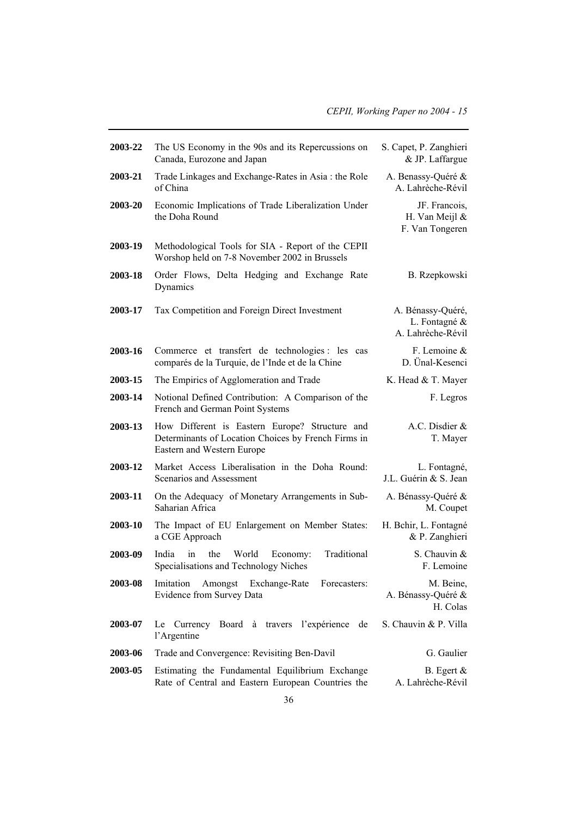| 2003-22 | The US Economy in the 90s and its Repercussions on<br>Canada, Eurozone and Japan                                                    | S. Capet, P. Zanghieri<br>& JP. Laffargue               |
|---------|-------------------------------------------------------------------------------------------------------------------------------------|---------------------------------------------------------|
| 2003-21 | Trade Linkages and Exchange-Rates in Asia: the Role<br>of China                                                                     | A. Benassy-Quéré &<br>A. Lahrèche-Révil                 |
| 2003-20 | Economic Implications of Trade Liberalization Under<br>the Doha Round                                                               | JF. Francois,<br>H. Van Meijl $\&$<br>F. Van Tongeren   |
| 2003-19 | Methodological Tools for SIA - Report of the CEPII<br>Worshop held on 7-8 November 2002 in Brussels                                 |                                                         |
| 2003-18 | Order Flows, Delta Hedging and Exchange Rate<br>Dynamics                                                                            | B. Rzepkowski                                           |
| 2003-17 | Tax Competition and Foreign Direct Investment                                                                                       | A. Bénassy-Quéré,<br>L. Fontagné &<br>A. Lahrèche-Révil |
| 2003-16 | Commerce et transfert de technologies : les cas<br>comparés de la Turquie, de l'Inde et de la Chine                                 | F. Lemoine $\&$<br>D. Ünal-Kesenci                      |
| 2003-15 | The Empirics of Agglomeration and Trade                                                                                             | K. Head & T. Mayer                                      |
| 2003-14 | Notional Defined Contribution: A Comparison of the<br>French and German Point Systems                                               | F. Legros                                               |
| 2003-13 | How Different is Eastern Europe? Structure and<br>Determinants of Location Choices by French Firms in<br>Eastern and Western Europe | A.C. Disdier &<br>T. Mayer                              |
| 2003-12 | Market Access Liberalisation in the Doha Round:<br>Scenarios and Assessment                                                         | L. Fontagné,<br>J.L. Guérin & S. Jean                   |
| 2003-11 | On the Adequacy of Monetary Arrangements in Sub-<br>Saharian Africa                                                                 | A. Bénassy-Quéré &<br>M. Coupet                         |
| 2003-10 | The Impact of EU Enlargement on Member States:<br>a CGE Approach                                                                    | H. Bchir, L. Fontagné<br>& P. Zanghieri                 |
| 2003-09 | the<br>World<br>Traditional<br>India<br>in<br>Economy:<br>Specialisations and Technology Niches                                     | S. Chauvin &<br>F. Lemoine                              |
| 2003-08 | Imitation Amongst Exchange-Rate<br>Forecasters:<br>Evidence from Survey Data                                                        | M. Beine,<br>A. Bénassy-Quéré &<br>H. Colas             |
| 2003-07 | Board<br>à travers l'expérience<br>Le<br>Currency<br>de<br>l'Argentine                                                              | S. Chauvin & P. Villa                                   |
| 2003-06 | Trade and Convergence: Revisiting Ben-Davil                                                                                         | G. Gaulier                                              |
| 2003-05 | Estimating the Fundamental Equilibrium Exchange<br>Rate of Central and Eastern European Countries the                               | B. Egert $\&$<br>A. Lahrèche-Révil                      |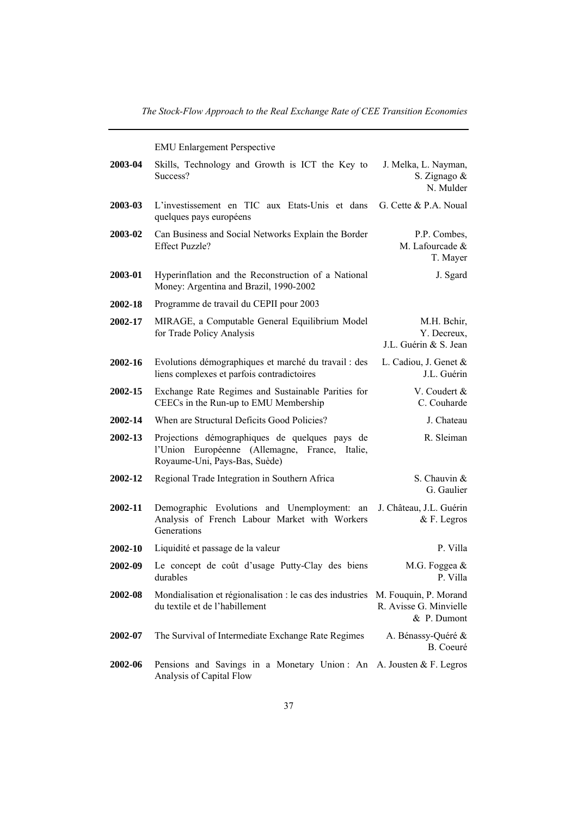EMU Enlargement Perspective

| 2003-04 | Skills, Technology and Growth is ICT the Key to<br>Success?                                                                          | J. Melka, L. Nayman,<br>S. Zignago &<br>N. Mulder   |
|---------|--------------------------------------------------------------------------------------------------------------------------------------|-----------------------------------------------------|
| 2003-03 | L'investissement en TIC aux Etats-Unis et dans<br>quelques pays européens                                                            | G. Cette & P.A. Noual                               |
| 2003-02 | Can Business and Social Networks Explain the Border<br><b>Effect Puzzle?</b>                                                         | P.P. Combes,<br>M. Lafourcade &<br>T. Mayer         |
| 2003-01 | Hyperinflation and the Reconstruction of a National<br>Money: Argentina and Brazil, 1990-2002                                        | J. Sgard                                            |
| 2002-18 | Programme de travail du CEPII pour 2003                                                                                              |                                                     |
| 2002-17 | MIRAGE, a Computable General Equilibrium Model<br>for Trade Policy Analysis                                                          | M.H. Behir,<br>Y. Decreux,<br>J.L. Guérin & S. Jean |
| 2002-16 | Evolutions démographiques et marché du travail : des<br>liens complexes et parfois contradictoires                                   | L. Cadiou, J. Genet &<br>J.L. Guérin                |
| 2002-15 | Exchange Rate Regimes and Sustainable Parities for<br>CEECs in the Run-up to EMU Membership                                          | V. Coudert &<br>C. Couharde                         |
| 2002-14 | When are Structural Deficits Good Policies?                                                                                          | J. Chateau                                          |
| 2002-13 | Projections démographiques de quelques pays de<br>l'Union Européenne (Allemagne, France,<br>Italie.<br>Royaume-Uni, Pays-Bas, Suède) | R. Sleiman                                          |
| 2002-12 | Regional Trade Integration in Southern Africa                                                                                        | S. Chauvin &<br>G. Gaulier                          |
| 2002-11 | Demographic Evolutions and Unemployment: an<br>Analysis of French Labour Market with Workers<br>Generations                          | J. Château, J.L. Guérin<br>$&$ F. Legros            |
| 2002-10 | Liquidité et passage de la valeur                                                                                                    | P. Villa                                            |
| 2002-09 | Le concept de coût d'usage Putty-Clay des biens<br>durables                                                                          | M.G. Foggea $&$<br>P. Villa                         |
| 2002-08 | Mondialisation et régionalisation : le cas des industries M. Fouquin, P. Morand<br>du textile et de l'habillement                    | R. Avisse G. Minvielle<br>& P. Dumont               |
| 2002-07 | The Survival of Intermediate Exchange Rate Regimes                                                                                   | A. Bénassy-Quéré &<br>B. Coeuré                     |
| 2002-06 | Pensions and Savings in a Monetary Union: An A. Jousten & F. Legros<br>Analysis of Capital Flow                                      |                                                     |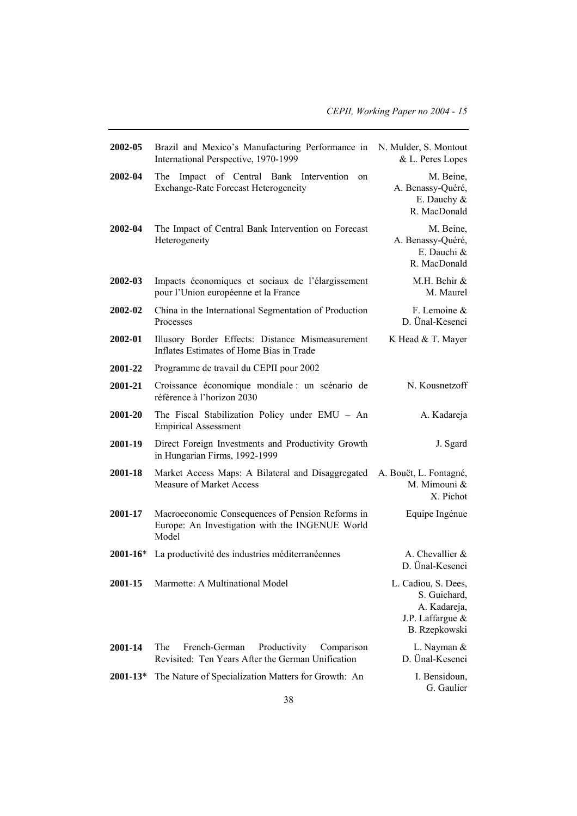| 2002-05      | Brazil and Mexico's Manufacturing Performance in<br>International Perspective, 1970-1999                     | N. Mulder, S. Montout<br>& L. Peres Lopes                                                |
|--------------|--------------------------------------------------------------------------------------------------------------|------------------------------------------------------------------------------------------|
| 2002-04      | Impact of Central Bank Intervention<br>The<br>on<br><b>Exchange-Rate Forecast Heterogeneity</b>              | M. Beine,<br>A. Benassy-Quéré,<br>E. Dauchy &<br>R. MacDonald                            |
| 2002-04      | The Impact of Central Bank Intervention on Forecast<br>Heterogeneity                                         | M. Beine,<br>A. Benassy-Quéré,<br>E. Dauchi &<br>R. MacDonald                            |
| 2002-03      | Impacts économiques et sociaux de l'élargissement<br>pour l'Union européenne et la France                    | M.H. Bchir &<br>M. Maurel                                                                |
| 2002-02      | China in the International Segmentation of Production<br>Processes                                           | F. Lemoine &<br>D. Ünal-Kesenci                                                          |
| 2002-01      | Illusory Border Effects: Distance Mismeasurement<br>Inflates Estimates of Home Bias in Trade                 | K Head & T. Mayer                                                                        |
| 2001-22      | Programme de travail du CEPII pour 2002                                                                      |                                                                                          |
| 2001-21      | Croissance économique mondiale : un scénario de<br>référence à l'horizon 2030                                | N. Kousnetzoff                                                                           |
| 2001-20      | The Fiscal Stabilization Policy under EMU - An<br><b>Empirical Assessment</b>                                | A. Kadareja                                                                              |
| 2001-19      | Direct Foreign Investments and Productivity Growth<br>in Hungarian Firms, 1992-1999                          | J. Sgard                                                                                 |
| 2001-18      | Market Access Maps: A Bilateral and Disaggregated<br><b>Measure of Market Access</b>                         | A. Bouët, L. Fontagné,<br>M. Mimouni &<br>X. Pichot                                      |
| 2001-17      | Macroeconomic Consequences of Pension Reforms in<br>Europe: An Investigation with the INGENUE World<br>Model | Equipe Ingénue                                                                           |
| $2001 - 16*$ | La productivité des industries méditerranéennes                                                              | A. Chevallier $&$<br>D. Ünal-Kesenci                                                     |
| 2001-15      | Marmotte: A Multinational Model                                                                              | L. Cadiou, S. Dees,<br>S. Guichard,<br>A. Kadareja,<br>J.P. Laffargue &<br>B. Rzepkowski |
| 2001-14      | The<br>French-German<br>Productivity<br>Comparison<br>Revisited: Ten Years After the German Unification      | L. Nayman &<br>D. Ünal-Kesenci                                                           |
| $2001 - 13*$ | The Nature of Specialization Matters for Growth: An                                                          | I. Bensidoun,<br>G. Gaulier                                                              |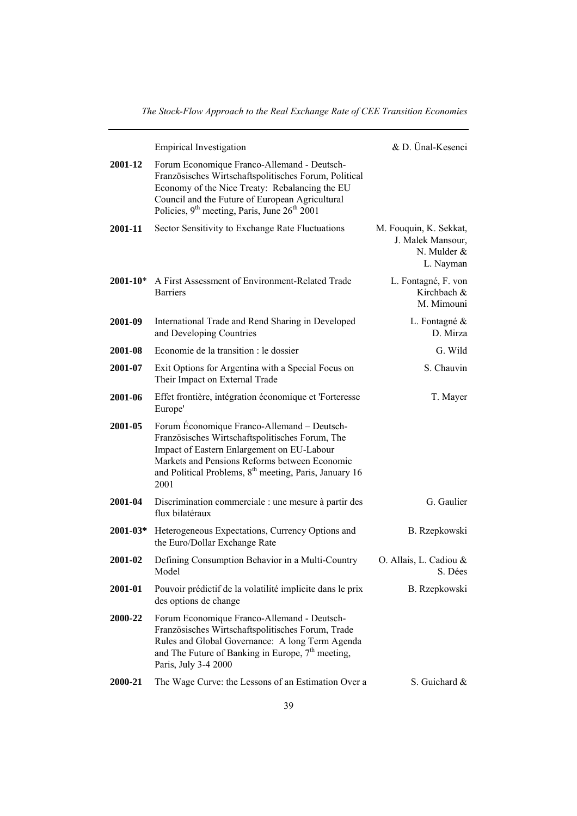|                 | <b>Empirical Investigation</b>                                                                                                                                                                                                                                              | & D. Ünal-Kesenci                                                         |
|-----------------|-----------------------------------------------------------------------------------------------------------------------------------------------------------------------------------------------------------------------------------------------------------------------------|---------------------------------------------------------------------------|
| 2001-12         | Forum Economique Franco-Allemand - Deutsch-<br>Französisches Wirtschaftspolitisches Forum, Political<br>Economy of the Nice Treaty: Rebalancing the EU<br>Council and the Future of European Agricultural<br>Policies, $9th$ meeting, Paris, June $26th$ 2001               |                                                                           |
| 2001-11         | Sector Sensitivity to Exchange Rate Fluctuations                                                                                                                                                                                                                            | M. Fouquin, K. Sekkat,<br>J. Malek Mansour,<br>N. Mulder $&$<br>L. Nayman |
|                 | <b>2001-10*</b> A First Assessment of Environment-Related Trade<br><b>Barriers</b>                                                                                                                                                                                          | L. Fontagné, F. von<br>Kirchbach &<br>M. Mimouni                          |
| 2001-09         | International Trade and Rend Sharing in Developed<br>and Developing Countries                                                                                                                                                                                               | L. Fontagné &<br>D. Mirza                                                 |
| 2001-08         | Economie de la transition : le dossier                                                                                                                                                                                                                                      | G. Wild                                                                   |
| 2001-07         | Exit Options for Argentina with a Special Focus on<br>Their Impact on External Trade                                                                                                                                                                                        | S. Chauvin                                                                |
| 2001-06         | Effet frontière, intégration économique et 'Forteresse<br>Europe'                                                                                                                                                                                                           | T. Mayer                                                                  |
| 2001-05         | Forum Economique Franco-Allemand – Deutsch-<br>Französisches Wirtschaftspolitisches Forum, The<br>Impact of Eastern Enlargement on EU-Labour<br>Markets and Pensions Reforms between Economic<br>and Political Problems, 8 <sup>th</sup> meeting, Paris, January 16<br>2001 |                                                                           |
| 2001-04         | Discrimination commerciale : une mesure à partir des<br>flux bilatéraux                                                                                                                                                                                                     | G. Gaulier                                                                |
| <b>2001-03*</b> | Heterogeneous Expectations, Currency Options and<br>the Euro/Dollar Exchange Rate                                                                                                                                                                                           | B. Rzepkowski                                                             |
| 2001-02         | Defining Consumption Behavior in a Multi-Country<br>Model                                                                                                                                                                                                                   | O. Allais, L. Cadiou &<br>S. Dées                                         |
| 2001-01         | Pouvoir prédictif de la volatilité implicite dans le prix<br>des options de change                                                                                                                                                                                          | B. Rzepkowski                                                             |
| 2000-22         | Forum Economique Franco-Allemand - Deutsch-<br>Französisches Wirtschaftspolitisches Forum, Trade<br>Rules and Global Governance: A long Term Agenda<br>and The Future of Banking in Europe, $7th$ meeting,<br>Paris, July 3-4 2000                                          |                                                                           |
| 2000-21         | The Wage Curve: the Lessons of an Estimation Over a                                                                                                                                                                                                                         | S. Guichard &                                                             |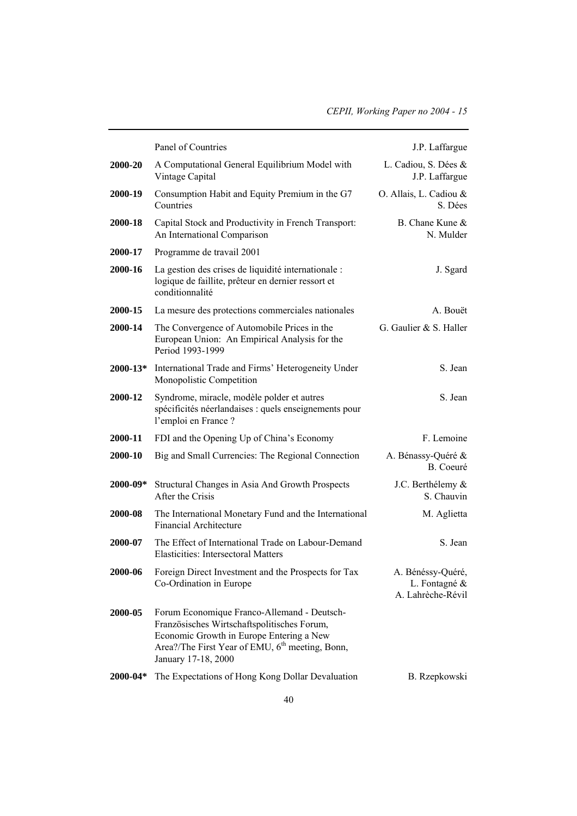|              | Panel of Countries                                                                                                                                                                                                           | J.P. Laffargue                                          |
|--------------|------------------------------------------------------------------------------------------------------------------------------------------------------------------------------------------------------------------------------|---------------------------------------------------------|
| 2000-20      | A Computational General Equilibrium Model with<br>Vintage Capital                                                                                                                                                            | L. Cadiou, S. Dées &<br>J.P. Laffargue                  |
| 2000-19      | Consumption Habit and Equity Premium in the G7<br>Countries                                                                                                                                                                  | O. Allais, L. Cadiou &<br>S. Dées                       |
| 2000-18      | Capital Stock and Productivity in French Transport:<br>An International Comparison                                                                                                                                           | B. Chane Kune &<br>N. Mulder                            |
| 2000-17      | Programme de travail 2001                                                                                                                                                                                                    |                                                         |
| 2000-16      | La gestion des crises de liquidité internationale :<br>logique de faillite, prêteur en dernier ressort et<br>conditionnalité                                                                                                 | J. Sgard                                                |
| 2000-15      | La mesure des protections commerciales nationales                                                                                                                                                                            | A. Bouët                                                |
| 2000-14      | The Convergence of Automobile Prices in the<br>European Union: An Empirical Analysis for the<br>Period 1993-1999                                                                                                             | G. Gaulier & S. Haller                                  |
| $2000 - 13*$ | International Trade and Firms' Heterogeneity Under<br>Monopolistic Competition                                                                                                                                               | S. Jean                                                 |
| 2000-12      | Syndrome, miracle, modèle polder et autres<br>spécificités néerlandaises : quels enseignements pour<br>l'emploi en France ?                                                                                                  | S. Jean                                                 |
| 2000-11      | FDI and the Opening Up of China's Economy                                                                                                                                                                                    | F. Lemoine                                              |
| 2000-10      | Big and Small Currencies: The Regional Connection                                                                                                                                                                            | A. Bénassy-Quéré &<br>B. Coeuré                         |
| $2000 - 09*$ | Structural Changes in Asia And Growth Prospects<br>After the Crisis                                                                                                                                                          | J.C. Berthélemy &<br>S. Chauvin                         |
| 2000-08      | The International Monetary Fund and the International<br><b>Financial Architecture</b>                                                                                                                                       | M. Aglietta                                             |
| 2000-07      | The Effect of International Trade on Labour-Demand<br><b>Elasticities: Intersectoral Matters</b>                                                                                                                             | S. Jean                                                 |
| 2000-06      | Foreign Direct Investment and the Prospects for Tax<br>Co-Ordination in Europe                                                                                                                                               | A. Bénéssy-Quéré,<br>L. Fontagné &<br>A. Lahrèche-Révil |
| 2000-05      | Forum Economique Franco-Allemand - Deutsch-<br>Französisches Wirtschaftspolitisches Forum,<br>Economic Growth in Europe Entering a New<br>Area?/The First Year of EMU, 6 <sup>th</sup> meeting, Bonn,<br>January 17-18, 2000 |                                                         |
| $2000 - 04*$ | The Expectations of Hong Kong Dollar Devaluation                                                                                                                                                                             | B. Rzepkowski                                           |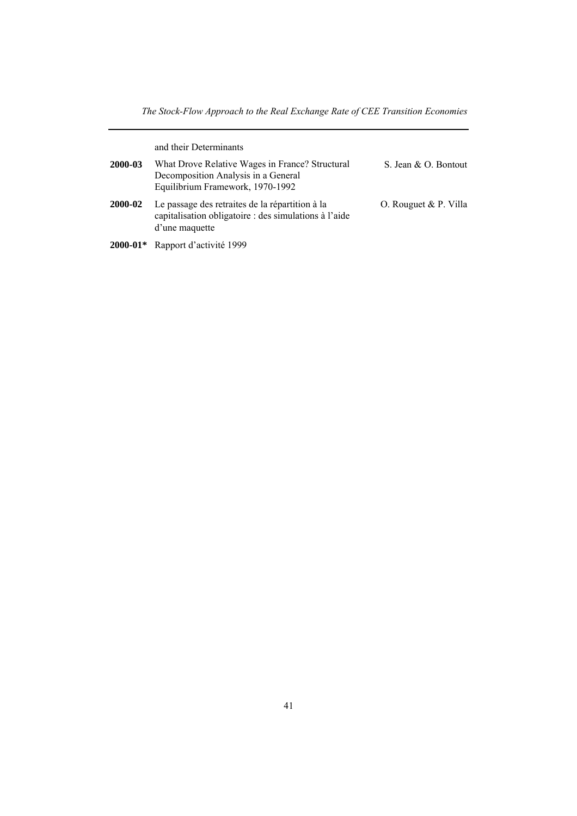and their Determinants

| 2000-03 | What Drove Relative Wages in France? Structural<br>Decomposition Analysis in a General<br>Equilibrium Framework, 1970-1992 | S. Jean & O. Bontout  |
|---------|----------------------------------------------------------------------------------------------------------------------------|-----------------------|
| 2000-02 | Le passage des retraites de la répartition à la<br>capitalisation obligatoire : des simulations à l'aide<br>d'une maquette | O. Rouguet & P. Villa |

**2000-01\*** Rapport d'activité 1999